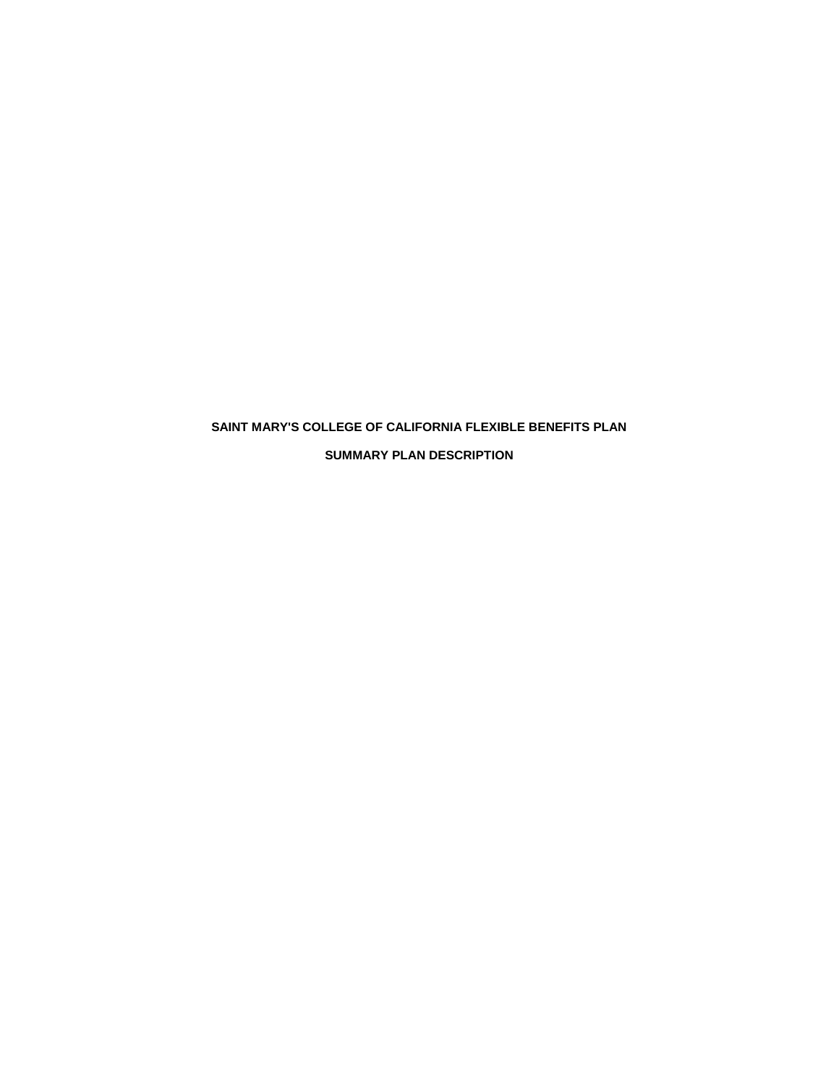# **SAINT MARY'S COLLEGE OF CALIFORNIA FLEXIBLE BENEFITS PLAN SUMMARY PLAN DESCRIPTION**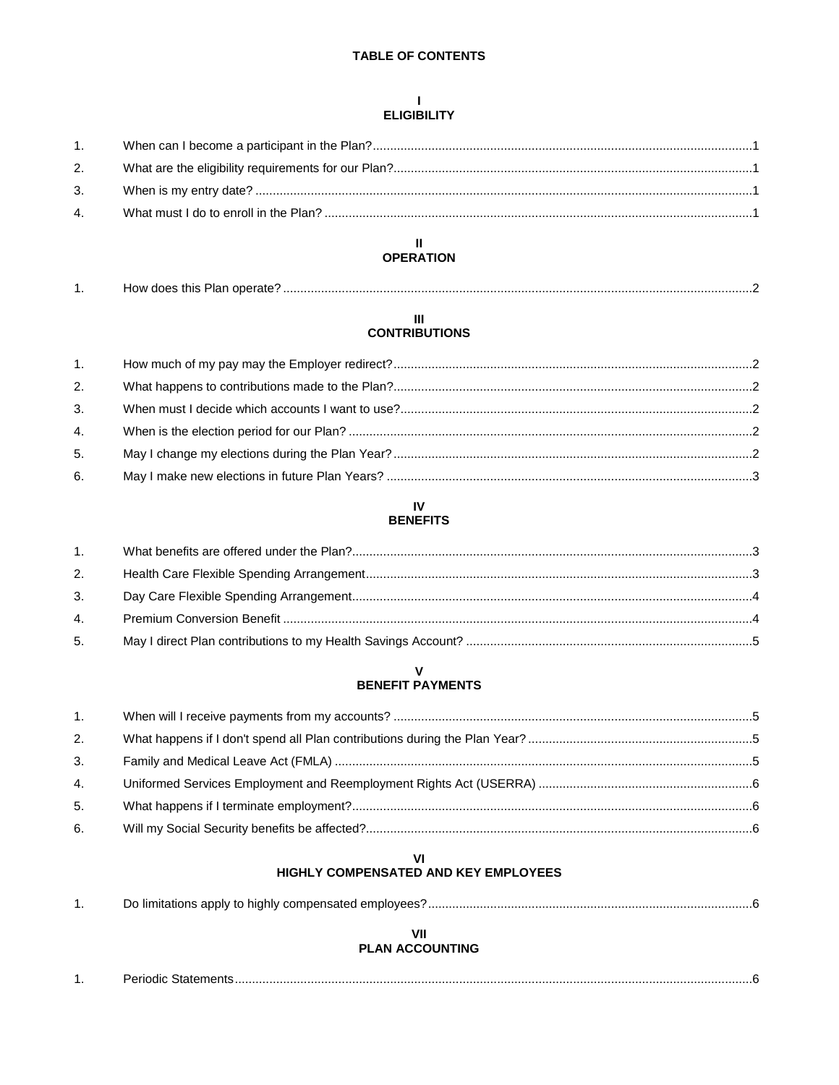# **TABLE OF CONTENTS**

## $\mathbf{L}$ **ELIGIBILITY**

| 1.             |  |
|----------------|--|
| 2.             |  |
| 3.             |  |
| 4 <sub>1</sub> |  |
|                |  |

# $\mathbf{I}$ **OPERATION**

| . . | How does this Plan operate? |  |
|-----|-----------------------------|--|
|-----|-----------------------------|--|

# $\mathbf{III}$ **CONTRIBUTIONS**

| 1. |  |
|----|--|
| 2. |  |
| 3. |  |
| 4. |  |
| 5. |  |
| 6. |  |

# $\mathbf{N}$ **BENEFITS**

| 1.           |  |
|--------------|--|
| 2.           |  |
| 3.           |  |
| $\mathbf{4}$ |  |
| 5.           |  |

# $\mathbf V$ **BENEFIT PAYMENTS**

| 1. |  |
|----|--|
| 2. |  |
| 3. |  |
| 4. |  |
| 5. |  |
| 6. |  |

# VI<br>HIGHLY COMPENSATED AND KEY EMPLOYEES

# VII **PLAN ACCOUNTING**

| 'OAIC.<br>ылыс |
|----------------|
|                |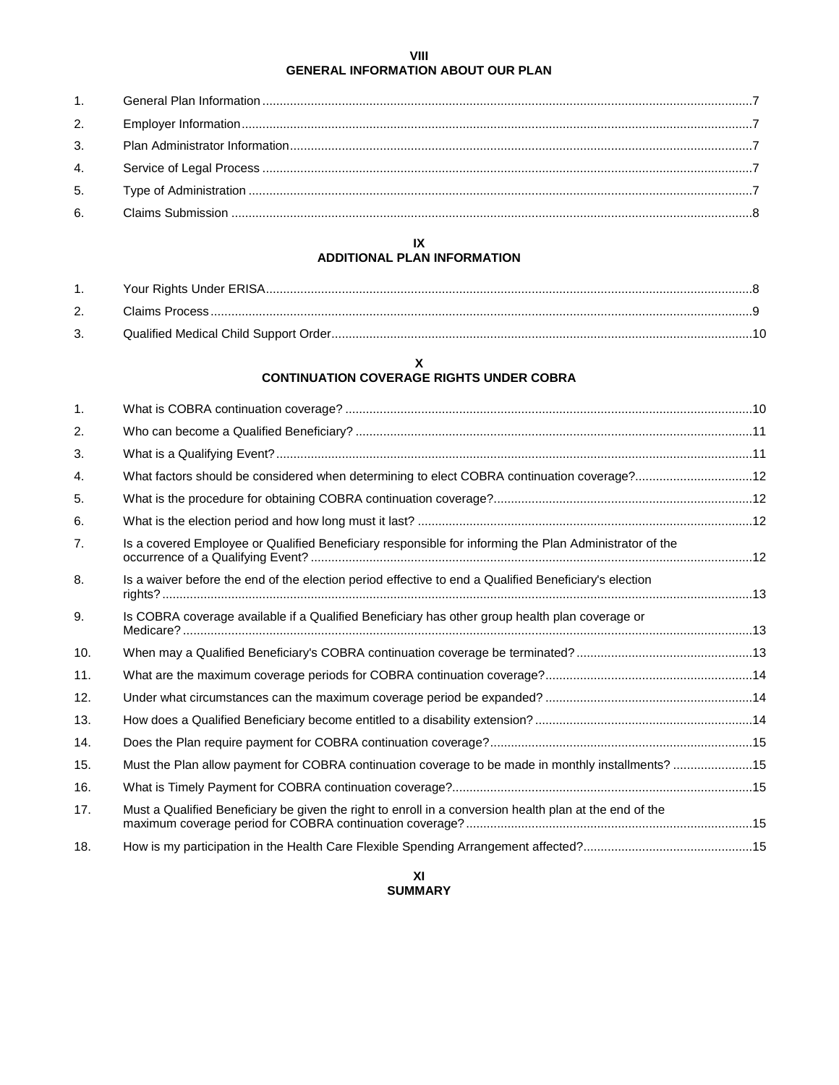# **VIII GENERAL INFORMATION ABOUT OUR PLAN**

# **IX**

# **ADDITIONAL PLAN INFORMATION**

| 1. |  |
|----|--|
|    |  |
|    |  |

# **X CONTINUATION COVERAGE RIGHTS UNDER COBRA**

| Is a covered Employee or Qualified Beneficiary responsible for informing the Plan Administrator of the  |                                                                                                                                                                                                  |
|---------------------------------------------------------------------------------------------------------|--------------------------------------------------------------------------------------------------------------------------------------------------------------------------------------------------|
| Is a waiver before the end of the election period effective to end a Qualified Beneficiary's election   |                                                                                                                                                                                                  |
| Is COBRA coverage available if a Qualified Beneficiary has other group health plan coverage or          |                                                                                                                                                                                                  |
|                                                                                                         |                                                                                                                                                                                                  |
|                                                                                                         |                                                                                                                                                                                                  |
|                                                                                                         |                                                                                                                                                                                                  |
|                                                                                                         |                                                                                                                                                                                                  |
|                                                                                                         |                                                                                                                                                                                                  |
|                                                                                                         |                                                                                                                                                                                                  |
|                                                                                                         |                                                                                                                                                                                                  |
| Must a Qualified Beneficiary be given the right to enroll in a conversion health plan at the end of the |                                                                                                                                                                                                  |
|                                                                                                         |                                                                                                                                                                                                  |
|                                                                                                         | What factors should be considered when determining to elect COBRA continuation coverage?12<br>Must the Plan allow payment for COBRA continuation coverage to be made in monthly installments? 15 |

# **XI SUMMARY**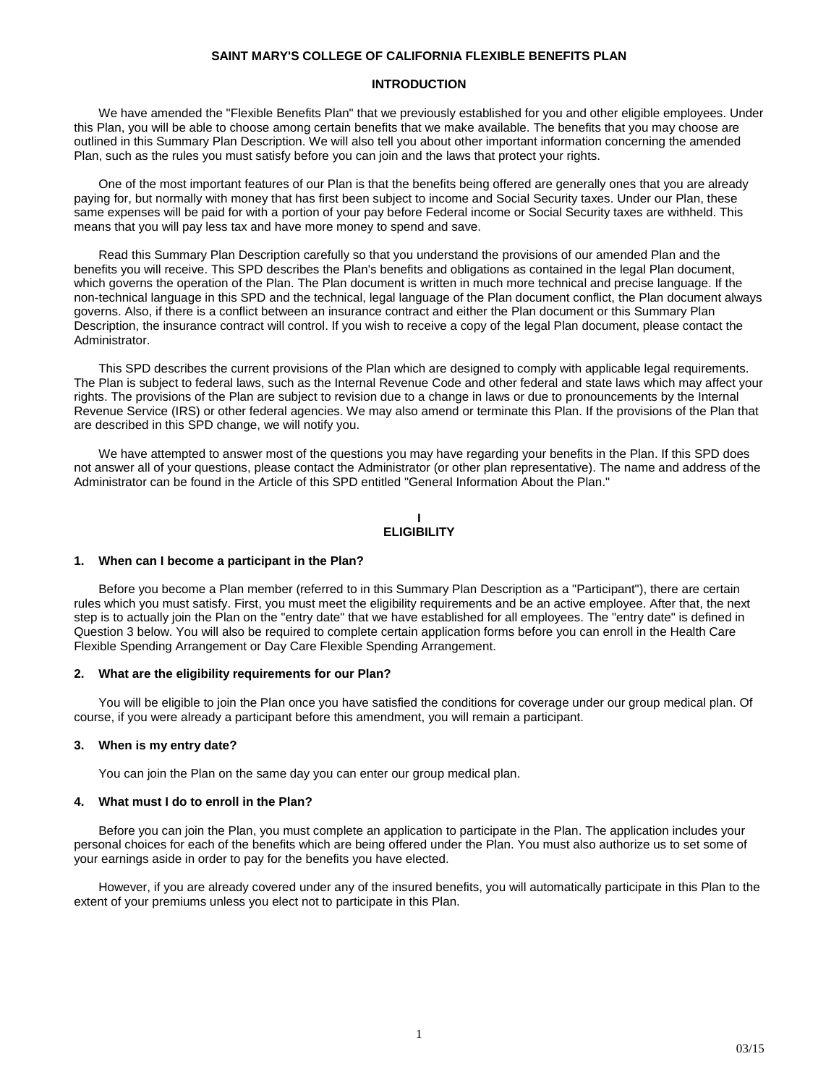### **SAINT MARY'S COLLEGE OF CALIFORNIA FLEXIBLE BENEFITS PLAN**

# **INTRODUCTION**

We have amended the "Flexible Benefits Plan" that we previously established for you and other eligible employees. Under this Plan, you will be able to choose among certain benefits that we make available. The benefits that you may choose are outlined in this Summary Plan Description. We will also tell you about other important information concerning the amended Plan, such as the rules you must satisfy before you can join and the laws that protect your rights.

One of the most important features of our Plan is that the benefits being offered are generally ones that you are already paying for, but normally with money that has first been subject to income and Social Security taxes. Under our Plan, these same expenses will be paid for with a portion of your pay before Federal income or Social Security taxes are withheld. This means that you will pay less tax and have more money to spend and save.

Read this Summary Plan Description carefully so that you understand the provisions of our amended Plan and the benefits you will receive. This SPD describes the Plan's benefits and obligations as contained in the legal Plan document, which governs the operation of the Plan. The Plan document is written in much more technical and precise language. If the non-technical language in this SPD and the technical, legal language of the Plan document conflict, the Plan document always governs. Also, if there is a conflict between an insurance contract and either the Plan document or this Summary Plan Description, the insurance contract will control. If you wish to receive a copy of the legal Plan document, please contact the Administrator.

This SPD describes the current provisions of the Plan which are designed to comply with applicable legal requirements. The Plan is subject to federal laws, such as the Internal Revenue Code and other federal and state laws which may affect your rights. The provisions of the Plan are subject to revision due to a change in laws or due to pronouncements by the Internal Revenue Service (IRS) or other federal agencies. We may also amend or terminate this Plan. If the provisions of the Plan that are described in this SPD change, we will notify you.

We have attempted to answer most of the questions you may have regarding your benefits in the Plan. If this SPD does not answer all of your questions, please contact the Administrator (or other plan representative). The name and address of the Administrator can be found in the Article of this SPD entitled "General Information About the Plan."

#### **I ELIGIBILITY**

#### **1. When can I become a participant in the Plan?**

Before you become a Plan member (referred to in this Summary Plan Description as a "Participant"), there are certain rules which you must satisfy. First, you must meet the eligibility requirements and be an active employee. After that, the next step is to actually join the Plan on the "entry date" that we have established for all employees. The "entry date" is defined in Question 3 below. You will also be required to complete certain application forms before you can enroll in the Health Care Flexible Spending Arrangement or Day Care Flexible Spending Arrangement.

#### **2. What are the eligibility requirements for our Plan?**

You will be eligible to join the Plan once you have satisfied the conditions for coverage under our group medical plan. Of course, if you were already a participant before this amendment, you will remain a participant.

#### **3. When is my entry date?**

You can join the Plan on the same day you can enter our group medical plan.

# **4. What must I do to enroll in the Plan?**

Before you can join the Plan, you must complete an application to participate in the Plan. The application includes your personal choices for each of the benefits which are being offered under the Plan. You must also authorize us to set some of your earnings aside in order to pay for the benefits you have elected.

However, if you are already covered under any of the insured benefits, you will automatically participate in this Plan to the extent of your premiums unless you elect not to participate in this Plan.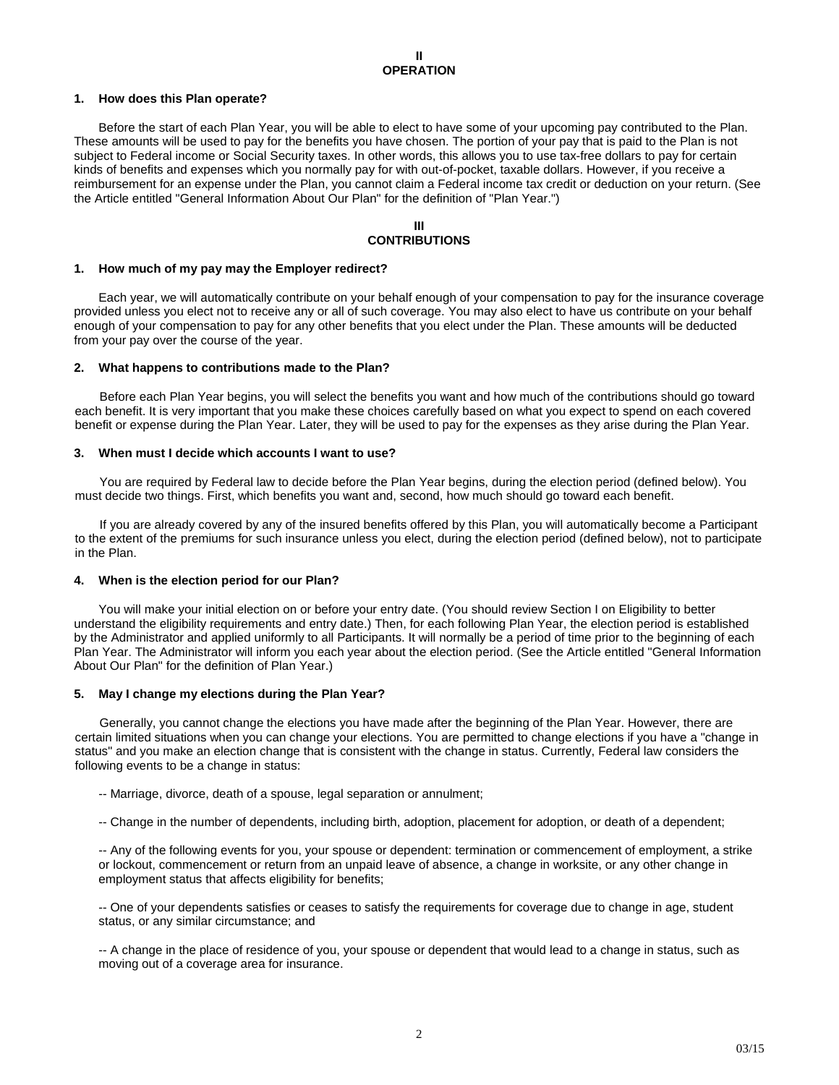# **1. How does this Plan operate?**

Before the start of each Plan Year, you will be able to elect to have some of your upcoming pay contributed to the Plan. These amounts will be used to pay for the benefits you have chosen. The portion of your pay that is paid to the Plan is not subject to Federal income or Social Security taxes. In other words, this allows you to use tax-free dollars to pay for certain kinds of benefits and expenses which you normally pay for with out-of-pocket, taxable dollars. However, if you receive a reimbursement for an expense under the Plan, you cannot claim a Federal income tax credit or deduction on your return. (See the Article entitled "General Information About Our Plan" for the definition of "Plan Year.")

### **III CONTRIBUTIONS**

#### **1. How much of my pay may the Employer redirect?**

Each year, we will automatically contribute on your behalf enough of your compensation to pay for the insurance coverage provided unless you elect not to receive any or all of such coverage. You may also elect to have us contribute on your behalf enough of your compensation to pay for any other benefits that you elect under the Plan. These amounts will be deducted from your pay over the course of the year.

### **2. What happens to contributions made to the Plan?**

Before each Plan Year begins, you will select the benefits you want and how much of the contributions should go toward each benefit. It is very important that you make these choices carefully based on what you expect to spend on each covered benefit or expense during the Plan Year. Later, they will be used to pay for the expenses as they arise during the Plan Year.

### **3. When must I decide which accounts I want to use?**

You are required by Federal law to decide before the Plan Year begins, during the election period (defined below). You must decide two things. First, which benefits you want and, second, how much should go toward each benefit.

If you are already covered by any of the insured benefits offered by this Plan, you will automatically become a Participant to the extent of the premiums for such insurance unless you elect, during the election period (defined below), not to participate in the Plan.

# **4. When is the election period for our Plan?**

You will make your initial election on or before your entry date. (You should review Section I on Eligibility to better understand the eligibility requirements and entry date.) Then, for each following Plan Year, the election period is established by the Administrator and applied uniformly to all Participants. It will normally be a period of time prior to the beginning of each Plan Year. The Administrator will inform you each year about the election period. (See the Article entitled "General Information About Our Plan" for the definition of Plan Year.)

#### **5. May I change my elections during the Plan Year?**

Generally, you cannot change the elections you have made after the beginning of the Plan Year. However, there are certain limited situations when you can change your elections. You are permitted to change elections if you have a "change in status" and you make an election change that is consistent with the change in status. Currently, Federal law considers the following events to be a change in status:

- -- Marriage, divorce, death of a spouse, legal separation or annulment;
- -- Change in the number of dependents, including birth, adoption, placement for adoption, or death of a dependent;

-- Any of the following events for you, your spouse or dependent: termination or commencement of employment, a strike or lockout, commencement or return from an unpaid leave of absence, a change in worksite, or any other change in employment status that affects eligibility for benefits;

-- One of your dependents satisfies or ceases to satisfy the requirements for coverage due to change in age, student status, or any similar circumstance; and

-- A change in the place of residence of you, your spouse or dependent that would lead to a change in status, such as moving out of a coverage area for insurance.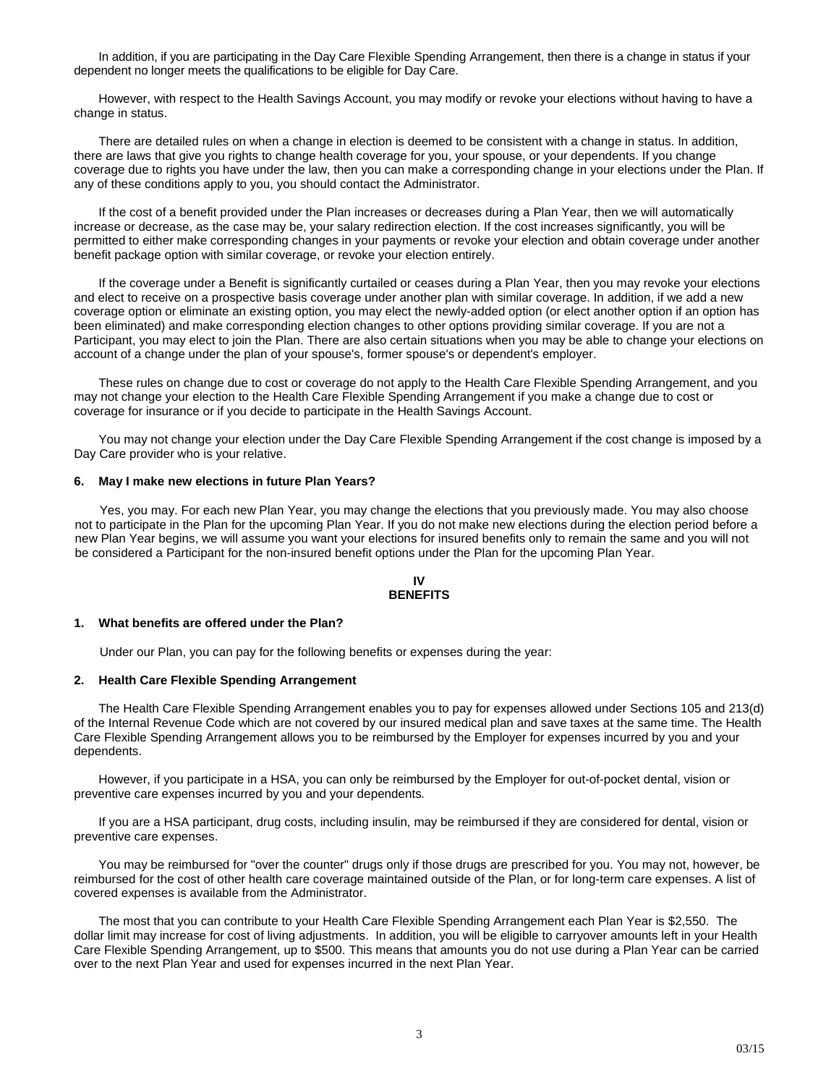In addition, if you are participating in the Day Care Flexible Spending Arrangement, then there is a change in status if your dependent no longer meets the qualifications to be eligible for Day Care.

However, with respect to the Health Savings Account, you may modify or revoke your elections without having to have a change in status.

There are detailed rules on when a change in election is deemed to be consistent with a change in status. In addition, there are laws that give you rights to change health coverage for you, your spouse, or your dependents. If you change coverage due to rights you have under the law, then you can make a corresponding change in your elections under the Plan. If any of these conditions apply to you, you should contact the Administrator.

If the cost of a benefit provided under the Plan increases or decreases during a Plan Year, then we will automatically increase or decrease, as the case may be, your salary redirection election. If the cost increases significantly, you will be permitted to either make corresponding changes in your payments or revoke your election and obtain coverage under another benefit package option with similar coverage, or revoke your election entirely.

If the coverage under a Benefit is significantly curtailed or ceases during a Plan Year, then you may revoke your elections and elect to receive on a prospective basis coverage under another plan with similar coverage. In addition, if we add a new coverage option or eliminate an existing option, you may elect the newly-added option (or elect another option if an option has been eliminated) and make corresponding election changes to other options providing similar coverage. If you are not a Participant, you may elect to join the Plan. There are also certain situations when you may be able to change your elections on account of a change under the plan of your spouse's, former spouse's or dependent's employer.

These rules on change due to cost or coverage do not apply to the Health Care Flexible Spending Arrangement, and you may not change your election to the Health Care Flexible Spending Arrangement if you make a change due to cost or coverage for insurance or if you decide to participate in the Health Savings Account.

You may not change your election under the Day Care Flexible Spending Arrangement if the cost change is imposed by a Day Care provider who is your relative.

#### **6. May I make new elections in future Plan Years?**

Yes, you may. For each new Plan Year, you may change the elections that you previously made. You may also choose not to participate in the Plan for the upcoming Plan Year. If you do not make new elections during the election period before a new Plan Year begins, we will assume you want your elections for insured benefits only to remain the same and you will not be considered a Participant for the non-insured benefit options under the Plan for the upcoming Plan Year.

#### **IV BENEFITS**

#### **1. What benefits are offered under the Plan?**

Under our Plan, you can pay for the following benefits or expenses during the year:

#### **2. Health Care Flexible Spending Arrangement**

The Health Care Flexible Spending Arrangement enables you to pay for expenses allowed under Sections 105 and 213(d) of the Internal Revenue Code which are not covered by our insured medical plan and save taxes at the same time. The Health Care Flexible Spending Arrangement allows you to be reimbursed by the Employer for expenses incurred by you and your dependents.

However, if you participate in a HSA, you can only be reimbursed by the Employer for out-of-pocket dental, vision or preventive care expenses incurred by you and your dependents*.*

If you are a HSA participant, drug costs, including insulin, may be reimbursed if they are considered for dental, vision or preventive care expenses.

You may be reimbursed for "over the counter" drugs only if those drugs are prescribed for you. You may not, however, be reimbursed for the cost of other health care coverage maintained outside of the Plan, or for long-term care expenses. A list of covered expenses is available from the Administrator.

The most that you can contribute to your Health Care Flexible Spending Arrangement each Plan Year is \$2,550. The dollar limit may increase for cost of living adjustments. In addition, you will be eligible to carryover amounts left in your Health Care Flexible Spending Arrangement, up to \$500. This means that amounts you do not use during a Plan Year can be carried over to the next Plan Year and used for expenses incurred in the next Plan Year.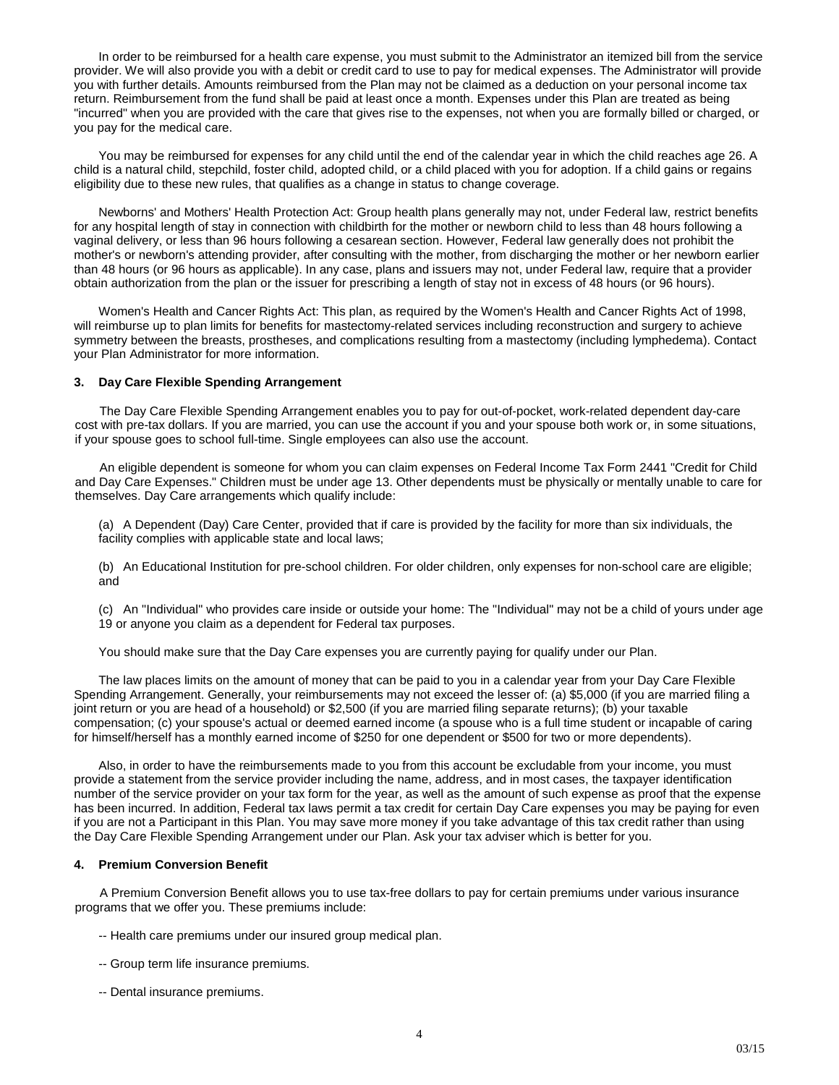In order to be reimbursed for a health care expense, you must submit to the Administrator an itemized bill from the service provider. We will also provide you with a debit or credit card to use to pay for medical expenses. The Administrator will provide you with further details. Amounts reimbursed from the Plan may not be claimed as a deduction on your personal income tax return. Reimbursement from the fund shall be paid at least once a month. Expenses under this Plan are treated as being "incurred" when you are provided with the care that gives rise to the expenses, not when you are formally billed or charged, or you pay for the medical care.

You may be reimbursed for expenses for any child until the end of the calendar year in which the child reaches age 26. A child is a natural child, stepchild, foster child, adopted child, or a child placed with you for adoption. If a child gains or regains eligibility due to these new rules, that qualifies as a change in status to change coverage.

Newborns' and Mothers' Health Protection Act: Group health plans generally may not, under Federal law, restrict benefits for any hospital length of stay in connection with childbirth for the mother or newborn child to less than 48 hours following a vaginal delivery, or less than 96 hours following a cesarean section. However, Federal law generally does not prohibit the mother's or newborn's attending provider, after consulting with the mother, from discharging the mother or her newborn earlier than 48 hours (or 96 hours as applicable). In any case, plans and issuers may not, under Federal law, require that a provider obtain authorization from the plan or the issuer for prescribing a length of stay not in excess of 48 hours (or 96 hours).

Women's Health and Cancer Rights Act: This plan, as required by the Women's Health and Cancer Rights Act of 1998, will reimburse up to plan limits for benefits for mastectomy-related services including reconstruction and surgery to achieve symmetry between the breasts, prostheses, and complications resulting from a mastectomy (including lymphedema). Contact your Plan Administrator for more information.

#### **3. Day Care Flexible Spending Arrangement**

The Day Care Flexible Spending Arrangement enables you to pay for out-of-pocket, work-related dependent day-care cost with pre-tax dollars. If you are married, you can use the account if you and your spouse both work or, in some situations, if your spouse goes to school full-time. Single employees can also use the account.

An eligible dependent is someone for whom you can claim expenses on Federal Income Tax Form 2441 "Credit for Child and Day Care Expenses." Children must be under age 13. Other dependents must be physically or mentally unable to care for themselves. Day Care arrangements which qualify include:

(a) A Dependent (Day) Care Center, provided that if care is provided by the facility for more than six individuals, the facility complies with applicable state and local laws;

(b) An Educational Institution for pre-school children. For older children, only expenses for non-school care are eligible; and

(c) An "Individual" who provides care inside or outside your home: The "Individual" may not be a child of yours under age 19 or anyone you claim as a dependent for Federal tax purposes.

You should make sure that the Day Care expenses you are currently paying for qualify under our Plan.

The law places limits on the amount of money that can be paid to you in a calendar year from your Day Care Flexible Spending Arrangement. Generally, your reimbursements may not exceed the lesser of: (a) \$5,000 (if you are married filing a joint return or you are head of a household) or \$2,500 (if you are married filing separate returns); (b) your taxable compensation; (c) your spouse's actual or deemed earned income (a spouse who is a full time student or incapable of caring for himself/herself has a monthly earned income of \$250 for one dependent or \$500 for two or more dependents).

Also, in order to have the reimbursements made to you from this account be excludable from your income, you must provide a statement from the service provider including the name, address, and in most cases, the taxpayer identification number of the service provider on your tax form for the year, as well as the amount of such expense as proof that the expense has been incurred. In addition, Federal tax laws permit a tax credit for certain Day Care expenses you may be paying for even if you are not a Participant in this Plan. You may save more money if you take advantage of this tax credit rather than using the Day Care Flexible Spending Arrangement under our Plan. Ask your tax adviser which is better for you.

# **4. Premium Conversion Benefit**

A Premium Conversion Benefit allows you to use tax-free dollars to pay for certain premiums under various insurance programs that we offer you. These premiums include:

- -- Health care premiums under our insured group medical plan.
- -- Group term life insurance premiums.
- -- Dental insurance premiums.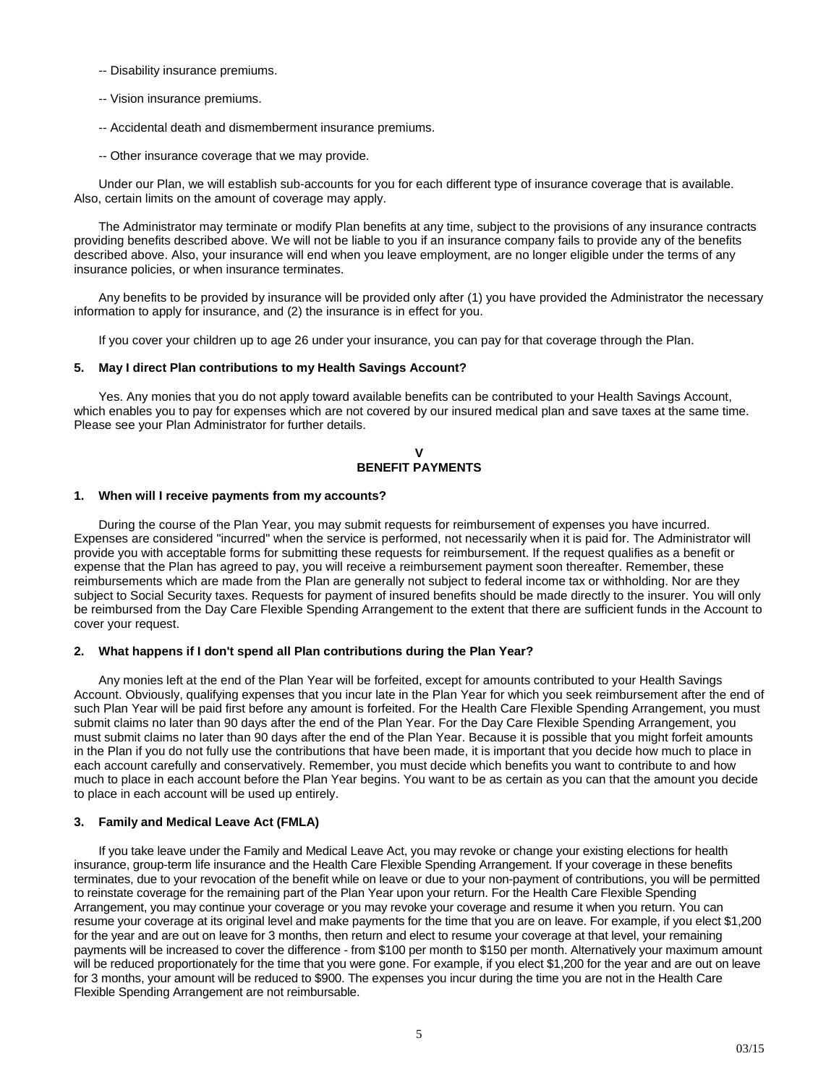- -- Disability insurance premiums.
- -- Vision insurance premiums.
- -- Accidental death and dismemberment insurance premiums.
- -- Other insurance coverage that we may provide.

Under our Plan, we will establish sub-accounts for you for each different type of insurance coverage that is available. Also, certain limits on the amount of coverage may apply.

The Administrator may terminate or modify Plan benefits at any time, subject to the provisions of any insurance contracts providing benefits described above. We will not be liable to you if an insurance company fails to provide any of the benefits described above. Also, your insurance will end when you leave employment, are no longer eligible under the terms of any insurance policies, or when insurance terminates.

Any benefits to be provided by insurance will be provided only after (1) you have provided the Administrator the necessary information to apply for insurance, and (2) the insurance is in effect for you.

If you cover your children up to age 26 under your insurance, you can pay for that coverage through the Plan.

# **5. May I direct Plan contributions to my Health Savings Account?**

Yes. Any monies that you do not apply toward available benefits can be contributed to your Health Savings Account, which enables you to pay for expenses which are not covered by our insured medical plan and save taxes at the same time. Please see your Plan Administrator for further details.

#### **V BENEFIT PAYMENTS**

# **1. When will I receive payments from my accounts?**

During the course of the Plan Year, you may submit requests for reimbursement of expenses you have incurred. Expenses are considered "incurred" when the service is performed, not necessarily when it is paid for. The Administrator will provide you with acceptable forms for submitting these requests for reimbursement. If the request qualifies as a benefit or expense that the Plan has agreed to pay, you will receive a reimbursement payment soon thereafter. Remember, these reimbursements which are made from the Plan are generally not subject to federal income tax or withholding. Nor are they subject to Social Security taxes. Requests for payment of insured benefits should be made directly to the insurer. You will only be reimbursed from the Day Care Flexible Spending Arrangement to the extent that there are sufficient funds in the Account to cover your request.

# **2. What happens if I don't spend all Plan contributions during the Plan Year?**

Any monies left at the end of the Plan Year will be forfeited, except for amounts contributed to your Health Savings Account. Obviously, qualifying expenses that you incur late in the Plan Year for which you seek reimbursement after the end of such Plan Year will be paid first before any amount is forfeited. For the Health Care Flexible Spending Arrangement, you must submit claims no later than 90 days after the end of the Plan Year. For the Day Care Flexible Spending Arrangement, you must submit claims no later than 90 days after the end of the Plan Year. Because it is possible that you might forfeit amounts in the Plan if you do not fully use the contributions that have been made, it is important that you decide how much to place in each account carefully and conservatively. Remember, you must decide which benefits you want to contribute to and how much to place in each account before the Plan Year begins. You want to be as certain as you can that the amount you decide to place in each account will be used up entirely.

# **3. Family and Medical Leave Act (FMLA)**

If you take leave under the Family and Medical Leave Act, you may revoke or change your existing elections for health insurance, group-term life insurance and the Health Care Flexible Spending Arrangement. If your coverage in these benefits terminates, due to your revocation of the benefit while on leave or due to your non-payment of contributions, you will be permitted to reinstate coverage for the remaining part of the Plan Year upon your return. For the Health Care Flexible Spending Arrangement, you may continue your coverage or you may revoke your coverage and resume it when you return. You can resume your coverage at its original level and make payments for the time that you are on leave. For example, if you elect \$1,200 for the year and are out on leave for 3 months, then return and elect to resume your coverage at that level, your remaining payments will be increased to cover the difference - from \$100 per month to \$150 per month. Alternatively your maximum amount will be reduced proportionately for the time that you were gone. For example, if you elect \$1,200 for the year and are out on leave for 3 months, your amount will be reduced to \$900. The expenses you incur during the time you are not in the Health Care Flexible Spending Arrangement are not reimbursable.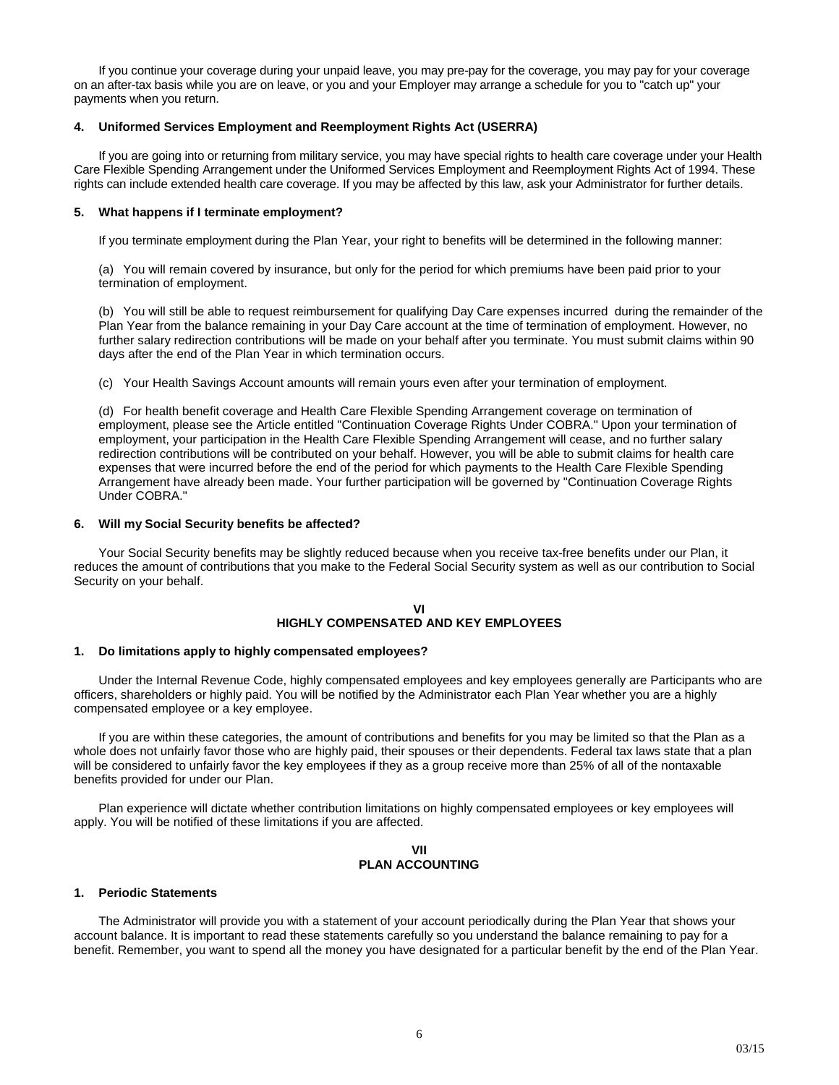If you continue your coverage during your unpaid leave, you may pre-pay for the coverage, you may pay for your coverage on an after-tax basis while you are on leave, or you and your Employer may arrange a schedule for you to "catch up" your payments when you return.

# **4. Uniformed Services Employment and Reemployment Rights Act (USERRA)**

If you are going into or returning from military service, you may have special rights to health care coverage under your Health Care Flexible Spending Arrangement under the Uniformed Services Employment and Reemployment Rights Act of 1994. These rights can include extended health care coverage. If you may be affected by this law, ask your Administrator for further details.

#### **5. What happens if I terminate employment?**

If you terminate employment during the Plan Year, your right to benefits will be determined in the following manner:

(a) You will remain covered by insurance, but only for the period for which premiums have been paid prior to your termination of employment.

(b) You will still be able to request reimbursement for qualifying Day Care expenses incurred during the remainder of the Plan Year from the balance remaining in your Day Care account at the time of termination of employment. However, no further salary redirection contributions will be made on your behalf after you terminate. You must submit claims within 90 days after the end of the Plan Year in which termination occurs.

(c) Your Health Savings Account amounts will remain yours even after your termination of employment.

(d) For health benefit coverage and Health Care Flexible Spending Arrangement coverage on termination of employment, please see the Article entitled "Continuation Coverage Rights Under COBRA." Upon your termination of employment, your participation in the Health Care Flexible Spending Arrangement will cease, and no further salary redirection contributions will be contributed on your behalf. However, you will be able to submit claims for health care expenses that were incurred before the end of the period for which payments to the Health Care Flexible Spending Arrangement have already been made. Your further participation will be governed by "Continuation Coverage Rights Under COBRA."

### **6. Will my Social Security benefits be affected?**

Your Social Security benefits may be slightly reduced because when you receive tax-free benefits under our Plan, it reduces the amount of contributions that you make to the Federal Social Security system as well as our contribution to Social Security on your behalf.

# **VI HIGHLY COMPENSATED AND KEY EMPLOYEES**

#### **1. Do limitations apply to highly compensated employees?**

Under the Internal Revenue Code, highly compensated employees and key employees generally are Participants who are officers, shareholders or highly paid. You will be notified by the Administrator each Plan Year whether you are a highly compensated employee or a key employee.

If you are within these categories, the amount of contributions and benefits for you may be limited so that the Plan as a whole does not unfairly favor those who are highly paid, their spouses or their dependents. Federal tax laws state that a plan will be considered to unfairly favor the key employees if they as a group receive more than 25% of all of the nontaxable benefits provided for under our Plan.

Plan experience will dictate whether contribution limitations on highly compensated employees or key employees will apply. You will be notified of these limitations if you are affected.

#### **VII PLAN ACCOUNTING**

#### **1. Periodic Statements**

The Administrator will provide you with a statement of your account periodically during the Plan Year that shows your account balance. It is important to read these statements carefully so you understand the balance remaining to pay for a benefit. Remember, you want to spend all the money you have designated for a particular benefit by the end of the Plan Year.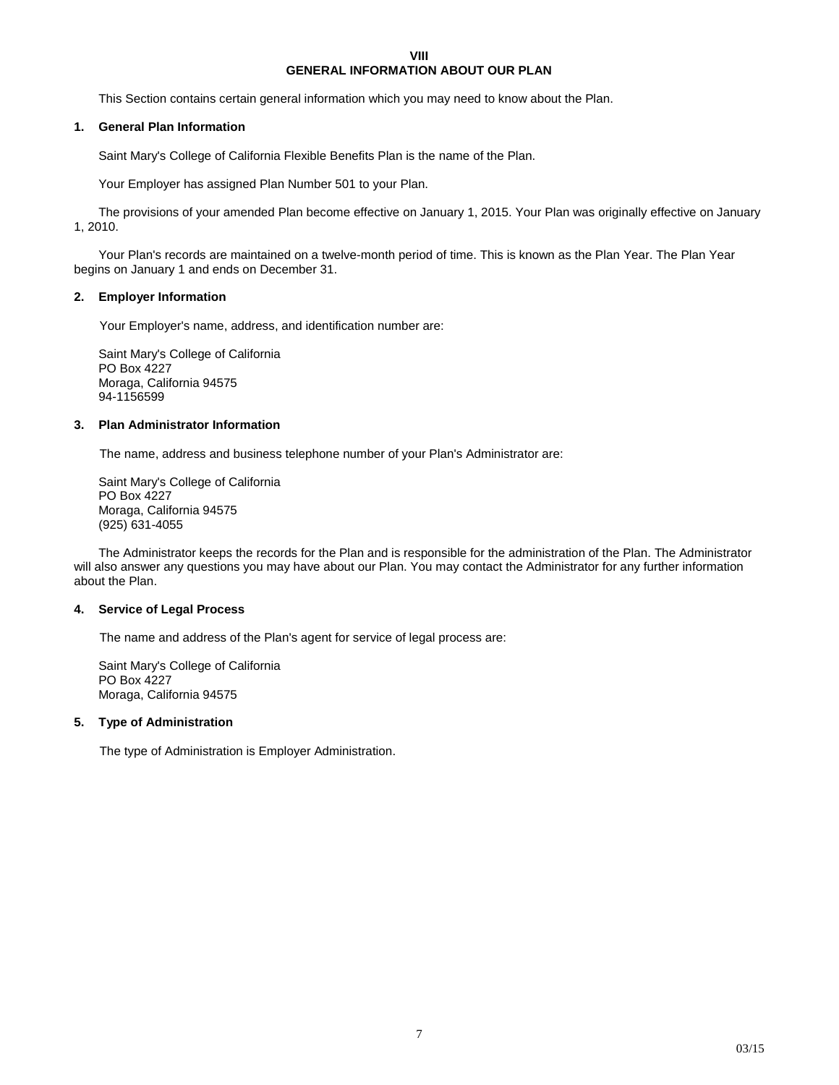# **VIII GENERAL INFORMATION ABOUT OUR PLAN**

This Section contains certain general information which you may need to know about the Plan.

# **1. General Plan Information**

Saint Mary's College of California Flexible Benefits Plan is the name of the Plan.

Your Employer has assigned Plan Number 501 to your Plan.

The provisions of your amended Plan become effective on January 1, 2015. Your Plan was originally effective on January 1, 2010.

Your Plan's records are maintained on a twelve-month period of time. This is known as the Plan Year. The Plan Year begins on January 1 and ends on December 31.

# **2. Employer Information**

Your Employer's name, address, and identification number are:

Saint Mary's College of California PO Box 4227 Moraga, California 94575 94-1156599

### **3. Plan Administrator Information**

The name, address and business telephone number of your Plan's Administrator are:

Saint Mary's College of California PO Box 4227 Moraga, California 94575 (925) 631-4055

The Administrator keeps the records for the Plan and is responsible for the administration of the Plan. The Administrator will also answer any questions you may have about our Plan. You may contact the Administrator for any further information about the Plan.

# **4. Service of Legal Process**

The name and address of the Plan's agent for service of legal process are:

Saint Mary's College of California PO Box 4227 Moraga, California 94575

# **5. Type of Administration**

The type of Administration is Employer Administration.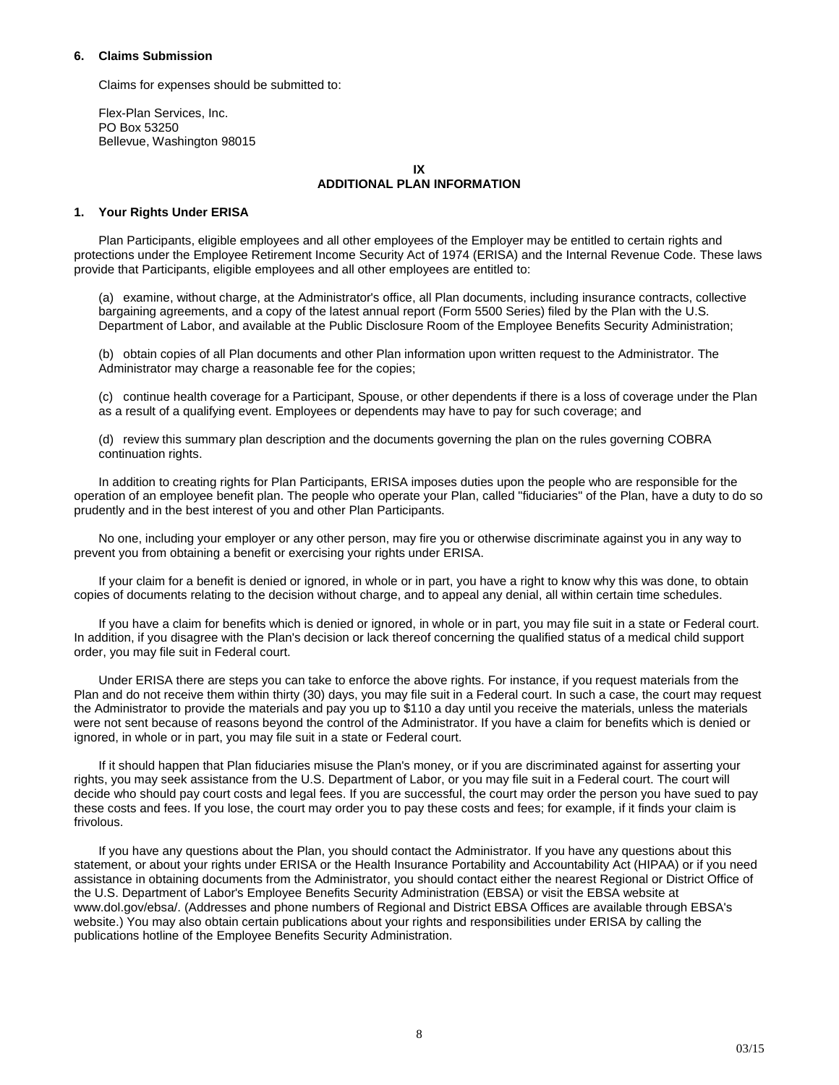# **6. Claims Submission**

Claims for expenses should be submitted to:

Flex-Plan Services, Inc. PO Box 53250 Bellevue, Washington 98015

# **IX ADDITIONAL PLAN INFORMATION**

# **1. Your Rights Under ERISA**

Plan Participants, eligible employees and all other employees of the Employer may be entitled to certain rights and protections under the Employee Retirement Income Security Act of 1974 (ERISA) and the Internal Revenue Code. These laws provide that Participants, eligible employees and all other employees are entitled to:

(a) examine, without charge, at the Administrator's office, all Plan documents, including insurance contracts, collective bargaining agreements, and a copy of the latest annual report (Form 5500 Series) filed by the Plan with the U.S. Department of Labor, and available at the Public Disclosure Room of the Employee Benefits Security Administration;

(b) obtain copies of all Plan documents and other Plan information upon written request to the Administrator. The Administrator may charge a reasonable fee for the copies;

(c) continue health coverage for a Participant, Spouse, or other dependents if there is a loss of coverage under the Plan as a result of a qualifying event. Employees or dependents may have to pay for such coverage; and

(d) review this summary plan description and the documents governing the plan on the rules governing COBRA continuation rights.

In addition to creating rights for Plan Participants, ERISA imposes duties upon the people who are responsible for the operation of an employee benefit plan. The people who operate your Plan, called "fiduciaries" of the Plan, have a duty to do so prudently and in the best interest of you and other Plan Participants.

No one, including your employer or any other person, may fire you or otherwise discriminate against you in any way to prevent you from obtaining a benefit or exercising your rights under ERISA.

If your claim for a benefit is denied or ignored, in whole or in part, you have a right to know why this was done, to obtain copies of documents relating to the decision without charge, and to appeal any denial, all within certain time schedules.

If you have a claim for benefits which is denied or ignored, in whole or in part, you may file suit in a state or Federal court. In addition, if you disagree with the Plan's decision or lack thereof concerning the qualified status of a medical child support order, you may file suit in Federal court.

Under ERISA there are steps you can take to enforce the above rights. For instance, if you request materials from the Plan and do not receive them within thirty (30) days, you may file suit in a Federal court. In such a case, the court may request the Administrator to provide the materials and pay you up to \$110 a day until you receive the materials, unless the materials were not sent because of reasons beyond the control of the Administrator. If you have a claim for benefits which is denied or ignored, in whole or in part, you may file suit in a state or Federal court.

If it should happen that Plan fiduciaries misuse the Plan's money, or if you are discriminated against for asserting your rights, you may seek assistance from the U.S. Department of Labor, or you may file suit in a Federal court. The court will decide who should pay court costs and legal fees. If you are successful, the court may order the person you have sued to pay these costs and fees. If you lose, the court may order you to pay these costs and fees; for example, if it finds your claim is frivolous.

If you have any questions about the Plan, you should contact the Administrator. If you have any questions about this statement, or about your rights under ERISA or the Health Insurance Portability and Accountability Act (HIPAA) or if you need assistance in obtaining documents from the Administrator, you should contact either the nearest Regional or District Office of the U.S. Department of Labor's Employee Benefits Security Administration (EBSA) or visit the EBSA website at [www.dol.gov/ebsa/](http://www.dol.gov/ebsa). (Addresses and phone numbers of Regional and District EBSA Offices are available through EBSA's website.) You may also obtain certain publications about your rights and responsibilities under ERISA by calling the publications hotline of the Employee Benefits Security Administration.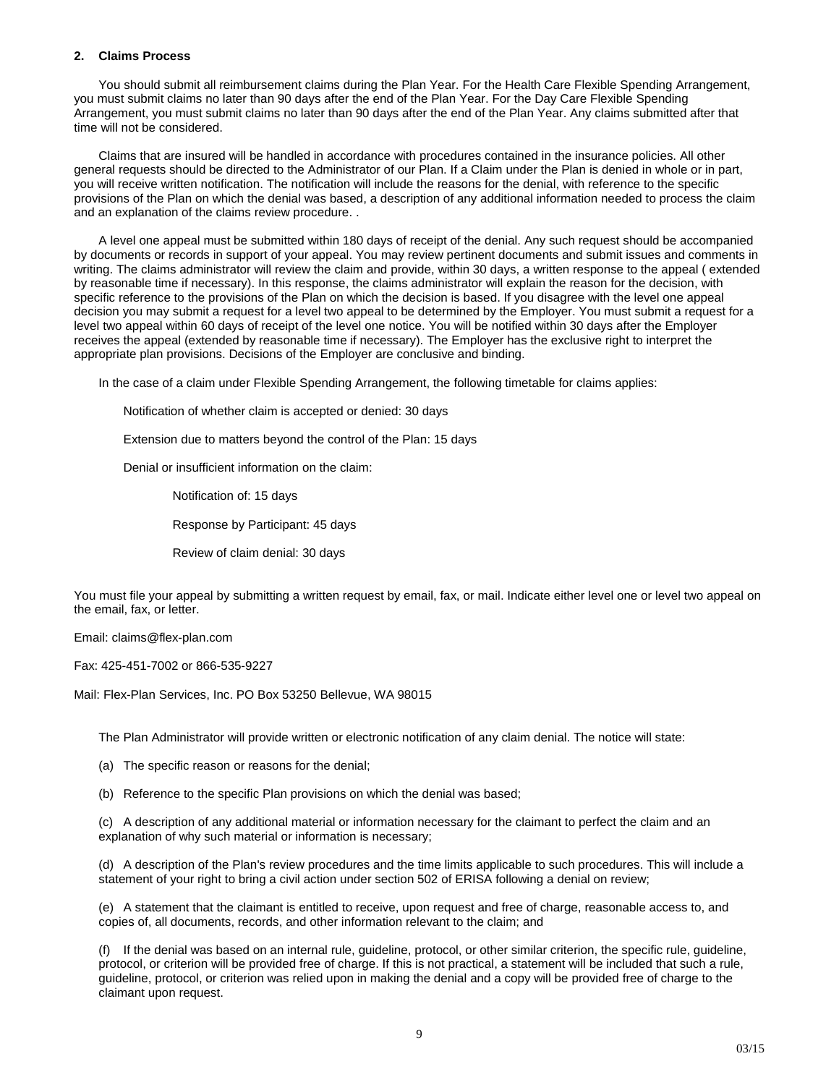# **2. Claims Process**

You should submit all reimbursement claims during the Plan Year. For the Health Care Flexible Spending Arrangement, you must submit claims no later than 90 days after the end of the Plan Year. For the Day Care Flexible Spending Arrangement, you must submit claims no later than 90 days after the end of the Plan Year. Any claims submitted after that time will not be considered.

Claims that are insured will be handled in accordance with procedures contained in the insurance policies. All other general requests should be directed to the Administrator of our Plan. If a Claim under the Plan is denied in whole or in part, you will receive written notification. The notification will include the reasons for the denial, with reference to the specific provisions of the Plan on which the denial was based, a description of any additional information needed to process the claim and an explanation of the claims review procedure. .

A level one appeal must be submitted within 180 days of receipt of the denial. Any such request should be accompanied by documents or records in support of your appeal. You may review pertinent documents and submit issues and comments in writing. The claims administrator will review the claim and provide, within 30 days, a written response to the appeal ( extended by reasonable time if necessary). In this response, the claims administrator will explain the reason for the decision, with specific reference to the provisions of the Plan on which the decision is based. If you disagree with the level one appeal decision you may submit a request for a level two appeal to be determined by the Employer. You must submit a request for a level two appeal within 60 days of receipt of the level one notice. You will be notified within 30 days after the Employer receives the appeal (extended by reasonable time if necessary). The Employer has the exclusive right to interpret the appropriate plan provisions. Decisions of the Employer are conclusive and binding.

In the case of a claim under Flexible Spending Arrangement, the following timetable for claims applies:

Notification of whether claim is accepted or denied: 30 days

Extension due to matters beyond the control of the Plan: 15 days

Denial or insufficient information on the claim:

Notification of: 15 days

Response by Participant: 45 days

Review of claim denial: 30 days

You must file your appeal by submitting a written request by email, fax, or mail. Indicate either level one or level two appeal on the email, fax, or letter.

Email: claims@flex-plan.com

Fax: 425-451-7002 or 866-535-9227

Mail: Flex-Plan Services, Inc. PO Box 53250 Bellevue, WA 98015

The Plan Administrator will provide written or electronic notification of any claim denial. The notice will state:

(a) The specific reason or reasons for the denial;

(b) Reference to the specific Plan provisions on which the denial was based;

(c) A description of any additional material or information necessary for the claimant to perfect the claim and an explanation of why such material or information is necessary;

(d) A description of the Plan's review procedures and the time limits applicable to such procedures. This will include a statement of your right to bring a civil action under section 502 of ERISA following a denial on review;

(e) A statement that the claimant is entitled to receive, upon request and free of charge, reasonable access to, and copies of, all documents, records, and other information relevant to the claim; and

(f) If the denial was based on an internal rule, guideline, protocol, or other similar criterion, the specific rule, guideline, protocol, or criterion will be provided free of charge. If this is not practical, a statement will be included that such a rule, guideline, protocol, or criterion was relied upon in making the denial and a copy will be provided free of charge to the claimant upon request.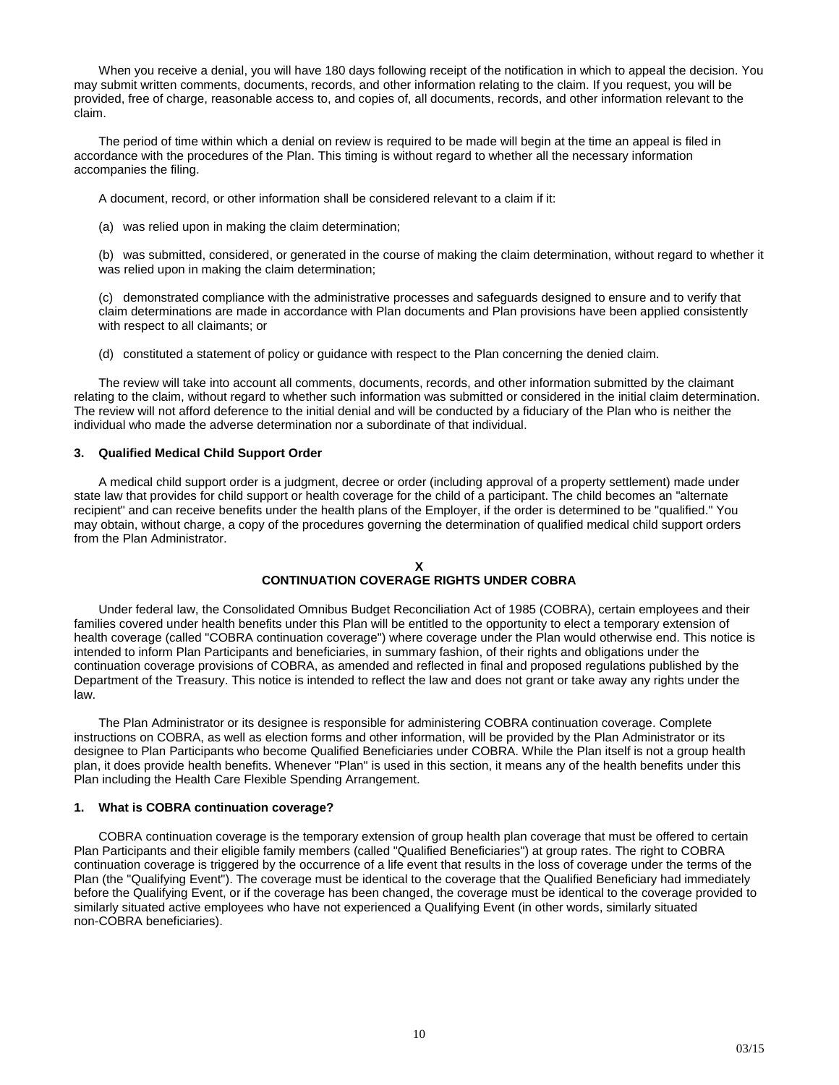When you receive a denial, you will have 180 days following receipt of the notification in which to appeal the decision. You may submit written comments, documents, records, and other information relating to the claim. If you request, you will be provided, free of charge, reasonable access to, and copies of, all documents, records, and other information relevant to the claim.

The period of time within which a denial on review is required to be made will begin at the time an appeal is filed in accordance with the procedures of the Plan. This timing is without regard to whether all the necessary information accompanies the filing.

A document, record, or other information shall be considered relevant to a claim if it:

(a) was relied upon in making the claim determination;

(b) was submitted, considered, or generated in the course of making the claim determination, without regard to whether it was relied upon in making the claim determination;

(c) demonstrated compliance with the administrative processes and safeguards designed to ensure and to verify that claim determinations are made in accordance with Plan documents and Plan provisions have been applied consistently with respect to all claimants; or

(d) constituted a statement of policy or guidance with respect to the Plan concerning the denied claim.

The review will take into account all comments, documents, records, and other information submitted by the claimant relating to the claim, without regard to whether such information was submitted or considered in the initial claim determination. The review will not afford deference to the initial denial and will be conducted by a fiduciary of the Plan who is neither the individual who made the adverse determination nor a subordinate of that individual.

### **3. Qualified Medical Child Support Order**

A medical child support order is a judgment, decree or order (including approval of a property settlement) made under state law that provides for child support or health coverage for the child of a participant. The child becomes an "alternate recipient" and can receive benefits under the health plans of the Employer, if the order is determined to be "qualified." You may obtain, without charge, a copy of the procedures governing the determination of qualified medical child support orders from the Plan Administrator.

# **X CONTINUATION COVERAGE RIGHTS UNDER COBRA**

Under federal law, the Consolidated Omnibus Budget Reconciliation Act of 1985 (COBRA), certain employees and their families covered under health benefits under this Plan will be entitled to the opportunity to elect a temporary extension of health coverage (called "COBRA continuation coverage") where coverage under the Plan would otherwise end. This notice is intended to inform Plan Participants and beneficiaries, in summary fashion, of their rights and obligations under the continuation coverage provisions of COBRA, as amended and reflected in final and proposed regulations published by the Department of the Treasury. This notice is intended to reflect the law and does not grant or take away any rights under the law.

The Plan Administrator or its designee is responsible for administering COBRA continuation coverage. Complete instructions on COBRA, as well as election forms and other information, will be provided by the Plan Administrator or its designee to Plan Participants who become Qualified Beneficiaries under COBRA. While the Plan itself is not a group health plan, it does provide health benefits. Whenever "Plan" is used in this section, it means any of the health benefits under this Plan including the Health Care Flexible Spending Arrangement.

# **1. What is COBRA continuation coverage?**

COBRA continuation coverage is the temporary extension of group health plan coverage that must be offered to certain Plan Participants and their eligible family members (called "Qualified Beneficiaries") at group rates. The right to COBRA continuation coverage is triggered by the occurrence of a life event that results in the loss of coverage under the terms of the Plan (the "Qualifying Event"). The coverage must be identical to the coverage that the Qualified Beneficiary had immediately before the Qualifying Event, or if the coverage has been changed, the coverage must be identical to the coverage provided to similarly situated active employees who have not experienced a Qualifying Event (in other words, similarly situated non-COBRA beneficiaries).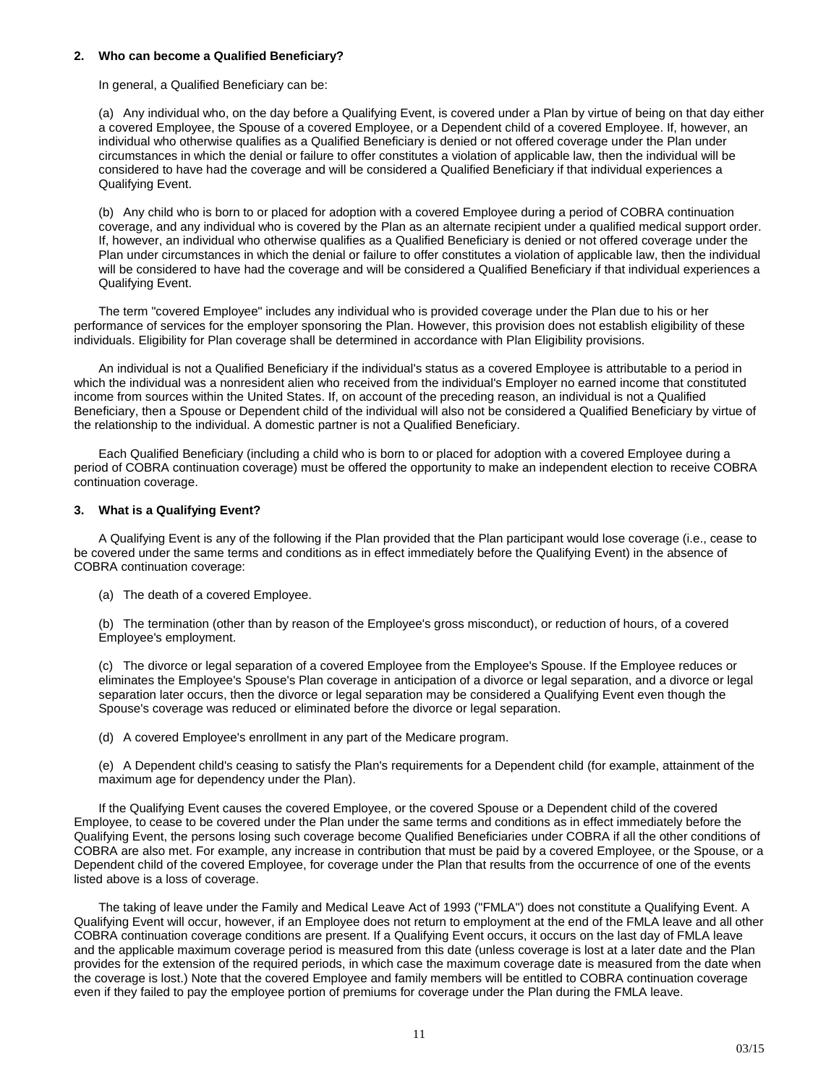#### **2. Who can become a Qualified Beneficiary?**

In general, a Qualified Beneficiary can be:

(a) Any individual who, on the day before a Qualifying Event, is covered under a Plan by virtue of being on that day either a covered Employee, the Spouse of a covered Employee, or a Dependent child of a covered Employee. If, however, an individual who otherwise qualifies as a Qualified Beneficiary is denied or not offered coverage under the Plan under circumstances in which the denial or failure to offer constitutes a violation of applicable law, then the individual will be considered to have had the coverage and will be considered a Qualified Beneficiary if that individual experiences a Qualifying Event.

(b) Any child who is born to or placed for adoption with a covered Employee during a period of COBRA continuation coverage, and any individual who is covered by the Plan as an alternate recipient under a qualified medical support order. If, however, an individual who otherwise qualifies as a Qualified Beneficiary is denied or not offered coverage under the Plan under circumstances in which the denial or failure to offer constitutes a violation of applicable law, then the individual will be considered to have had the coverage and will be considered a Qualified Beneficiary if that individual experiences a Qualifying Event.

The term "covered Employee" includes any individual who is provided coverage under the Plan due to his or her performance of services for the employer sponsoring the Plan. However, this provision does not establish eligibility of these individuals. Eligibility for Plan coverage shall be determined in accordance with Plan Eligibility provisions.

An individual is not a Qualified Beneficiary if the individual's status as a covered Employee is attributable to a period in which the individual was a nonresident alien who received from the individual's Employer no earned income that constituted income from sources within the United States. If, on account of the preceding reason, an individual is not a Qualified Beneficiary, then a Spouse or Dependent child of the individual will also not be considered a Qualified Beneficiary by virtue of the relationship to the individual. A domestic partner is not a Qualified Beneficiary.

Each Qualified Beneficiary (including a child who is born to or placed for adoption with a covered Employee during a period of COBRA continuation coverage) must be offered the opportunity to make an independent election to receive COBRA continuation coverage.

# **3. What is a Qualifying Event?**

A Qualifying Event is any of the following if the Plan provided that the Plan participant would lose coverage (i.e., cease to be covered under the same terms and conditions as in effect immediately before the Qualifying Event) in the absence of COBRA continuation coverage:

(a) The death of a covered Employee.

(b) The termination (other than by reason of the Employee's gross misconduct), or reduction of hours, of a covered Employee's employment.

(c) The divorce or legal separation of a covered Employee from the Employee's Spouse. If the Employee reduces or eliminates the Employee's Spouse's Plan coverage in anticipation of a divorce or legal separation, and a divorce or legal separation later occurs, then the divorce or legal separation may be considered a Qualifying Event even though the Spouse's coverage was reduced or eliminated before the divorce or legal separation.

(d) A covered Employee's enrollment in any part of the Medicare program.

(e) A Dependent child's ceasing to satisfy the Plan's requirements for a Dependent child (for example, attainment of the maximum age for dependency under the Plan).

If the Qualifying Event causes the covered Employee, or the covered Spouse or a Dependent child of the covered Employee, to cease to be covered under the Plan under the same terms and conditions as in effect immediately before the Qualifying Event, the persons losing such coverage become Qualified Beneficiaries under COBRA if all the other conditions of COBRA are also met. For example, any increase in contribution that must be paid by a covered Employee, or the Spouse, or a Dependent child of the covered Employee, for coverage under the Plan that results from the occurrence of one of the events listed above is a loss of coverage.

The taking of leave under the Family and Medical Leave Act of 1993 ("FMLA") does not constitute a Qualifying Event. A Qualifying Event will occur, however, if an Employee does not return to employment at the end of the FMLA leave and all other COBRA continuation coverage conditions are present. If a Qualifying Event occurs, it occurs on the last day of FMLA leave and the applicable maximum coverage period is measured from this date (unless coverage is lost at a later date and the Plan provides for the extension of the required periods, in which case the maximum coverage date is measured from the date when the coverage is lost.) Note that the covered Employee and family members will be entitled to COBRA continuation coverage even if they failed to pay the employee portion of premiums for coverage under the Plan during the FMLA leave.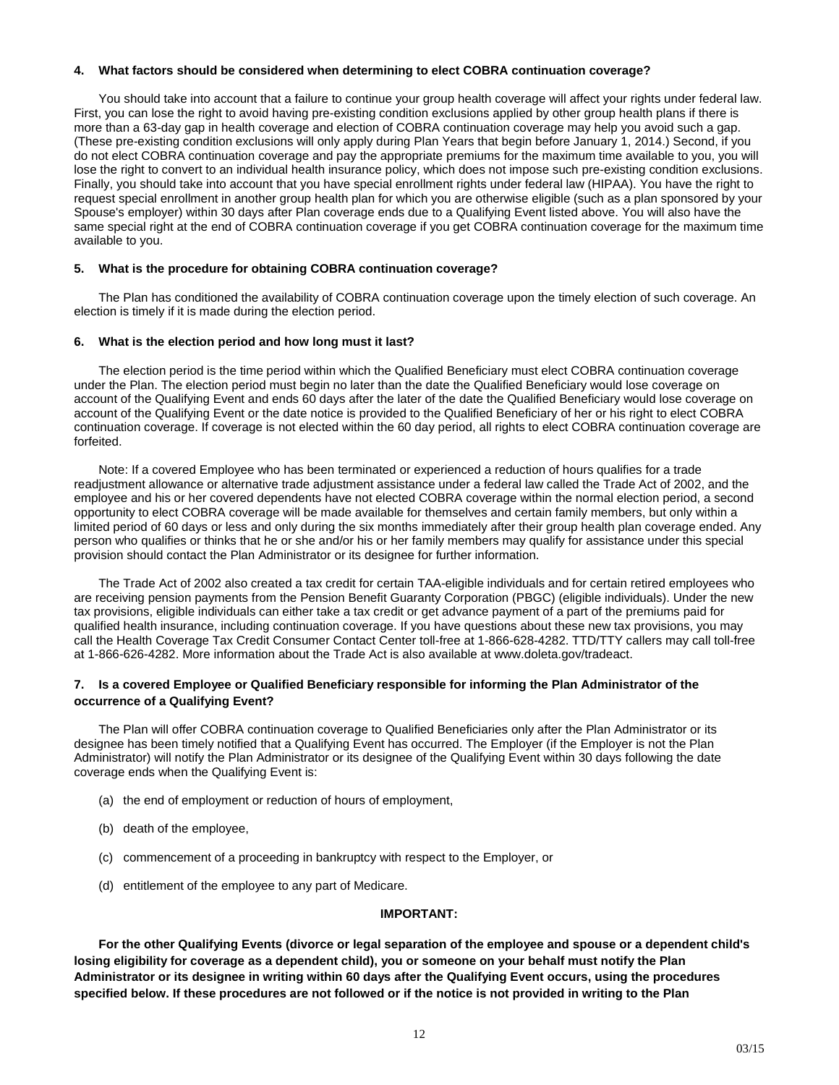# **4. What factors should be considered when determining to elect COBRA continuation coverage?**

You should take into account that a failure to continue your group health coverage will affect your rights under federal law. First, you can lose the right to avoid having pre-existing condition exclusions applied by other group health plans if there is more than a 63-day gap in health coverage and election of COBRA continuation coverage may help you avoid such a gap. (These pre-existing condition exclusions will only apply during Plan Years that begin before January 1, 2014.) Second, if you do not elect COBRA continuation coverage and pay the appropriate premiums for the maximum time available to you, you will lose the right to convert to an individual health insurance policy, which does not impose such pre-existing condition exclusions. Finally, you should take into account that you have special enrollment rights under federal law (HIPAA). You have the right to request special enrollment in another group health plan for which you are otherwise eligible (such as a plan sponsored by your Spouse's employer) within 30 days after Plan coverage ends due to a Qualifying Event listed above. You will also have the same special right at the end of COBRA continuation coverage if you get COBRA continuation coverage for the maximum time available to you.

# **5. What is the procedure for obtaining COBRA continuation coverage?**

The Plan has conditioned the availability of COBRA continuation coverage upon the timely election of such coverage. An election is timely if it is made during the election period.

### **6. What is the election period and how long must it last?**

The election period is the time period within which the Qualified Beneficiary must elect COBRA continuation coverage under the Plan. The election period must begin no later than the date the Qualified Beneficiary would lose coverage on account of the Qualifying Event and ends 60 days after the later of the date the Qualified Beneficiary would lose coverage on account of the Qualifying Event or the date notice is provided to the Qualified Beneficiary of her or his right to elect COBRA continuation coverage. If coverage is not elected within the 60 day period, all rights to elect COBRA continuation coverage are forfeited.

Note: If a covered Employee who has been terminated or experienced a reduction of hours qualifies for a trade readjustment allowance or alternative trade adjustment assistance under a federal law called the Trade Act of 2002, and the employee and his or her covered dependents have not elected COBRA coverage within the normal election period, a second opportunity to elect COBRA coverage will be made available for themselves and certain family members, but only within a limited period of 60 days or less and only during the six months immediately after their group health plan coverage ended. Any person who qualifies or thinks that he or she and/or his or her family members may qualify for assistance under this special provision should contact the Plan Administrator or its designee for further information.

The Trade Act of 2002 also created a tax credit for certain TAA-eligible individuals and for certain retired employees who are receiving pension payments from the Pension Benefit Guaranty Corporation (PBGC) (eligible individuals). Under the new tax provisions, eligible individuals can either take a tax credit or get advance payment of a part of the premiums paid for qualified health insurance, including continuation coverage. If you have questions about these new tax provisions, you may call the Health Coverage Tax Credit Consumer Contact Center toll-free at 1-866-628-4282. TTD/TTY callers may call toll-free at 1-866-626-4282. More information about the Trade Act is also available at www.doleta.gov/tradeact.

# **7. Is a covered Employee or Qualified Beneficiary responsible for informing the Plan Administrator of the occurrence of a Qualifying Event?**

The Plan will offer COBRA continuation coverage to Qualified Beneficiaries only after the Plan Administrator or its designee has been timely notified that a Qualifying Event has occurred. The Employer (if the Employer is not the Plan Administrator) will notify the Plan Administrator or its designee of the Qualifying Event within 30 days following the date coverage ends when the Qualifying Event is:

- (a) the end of employment or reduction of hours of employment,
- (b) death of the employee,
- (c) commencement of a proceeding in bankruptcy with respect to the Employer, or
- (d) entitlement of the employee to any part of Medicare.

# **IMPORTANT:**

**For the other Qualifying Events (divorce or legal separation of the employee and spouse or a dependent child's losing eligibility for coverage as a dependent child), you or someone on your behalf must notify the Plan Administrator or its designee in writing within 60 days after the Qualifying Event occurs, using the procedures specified below. If these procedures are not followed or if the notice is not provided in writing to the Plan**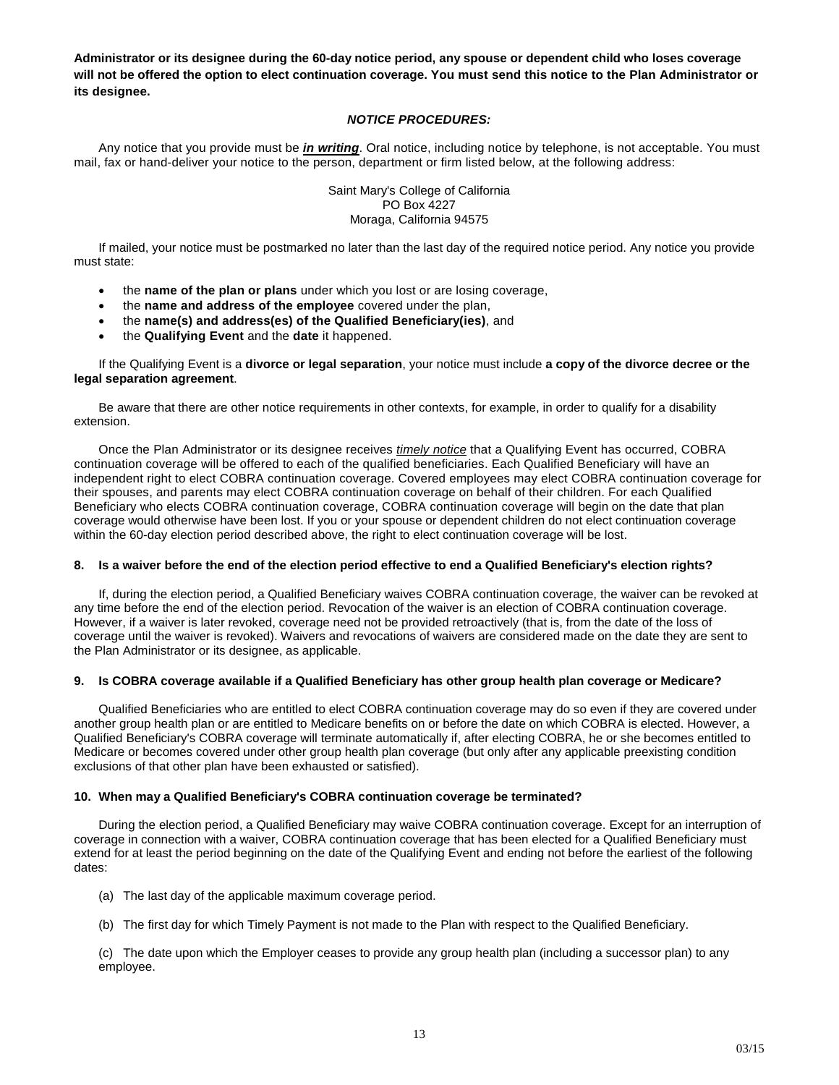**Administrator or its designee during the 60-day notice period, any spouse or dependent child who loses coverage will not be offered the option to elect continuation coverage. You must send this notice to the Plan Administrator or its designee.**

# *NOTICE PROCEDURES:*

Any notice that you provide must be *in writing*. Oral notice, including notice by telephone, is not acceptable. You must mail, fax or hand-deliver your notice to the person, department or firm listed below, at the following address:

> Saint Mary's College of California PO Box 4227 Moraga, California 94575

If mailed, your notice must be postmarked no later than the last day of the required notice period. Any notice you provide must state:

- the **name of the plan or plans** under which you lost or are losing coverage,
- the **name and address of the employee** covered under the plan,
- the **name(s) and address(es) of the Qualified Beneficiary(ies)**, and
- the **Qualifying Event** and the **date** it happened.

If the Qualifying Event is a **divorce or legal separation**, your notice must include **a copy of the divorce decree or the legal separation agreement**.

Be aware that there are other notice requirements in other contexts, for example, in order to qualify for a disability extension.

Once the Plan Administrator or its designee receives *timely notice* that a Qualifying Event has occurred, COBRA continuation coverage will be offered to each of the qualified beneficiaries. Each Qualified Beneficiary will have an independent right to elect COBRA continuation coverage. Covered employees may elect COBRA continuation coverage for their spouses, and parents may elect COBRA continuation coverage on behalf of their children. For each Qualified Beneficiary who elects COBRA continuation coverage, COBRA continuation coverage will begin on the date that plan coverage would otherwise have been lost. If you or your spouse or dependent children do not elect continuation coverage within the 60-day election period described above, the right to elect continuation coverage will be lost.

# **8. Is a waiver before the end of the election period effective to end a Qualified Beneficiary's election rights?**

If, during the election period, a Qualified Beneficiary waives COBRA continuation coverage, the waiver can be revoked at any time before the end of the election period. Revocation of the waiver is an election of COBRA continuation coverage. However, if a waiver is later revoked, coverage need not be provided retroactively (that is, from the date of the loss of coverage until the waiver is revoked). Waivers and revocations of waivers are considered made on the date they are sent to the Plan Administrator or its designee, as applicable.

# **9. Is COBRA coverage available if a Qualified Beneficiary has other group health plan coverage or Medicare?**

Qualified Beneficiaries who are entitled to elect COBRA continuation coverage may do so even if they are covered under another group health plan or are entitled to Medicare benefits on or before the date on which COBRA is elected. However, a Qualified Beneficiary's COBRA coverage will terminate automatically if, after electing COBRA, he or she becomes entitled to Medicare or becomes covered under other group health plan coverage (but only after any applicable preexisting condition exclusions of that other plan have been exhausted or satisfied).

# **10. When may a Qualified Beneficiary's COBRA continuation coverage be terminated?**

During the election period, a Qualified Beneficiary may waive COBRA continuation coverage. Except for an interruption of coverage in connection with a waiver, COBRA continuation coverage that has been elected for a Qualified Beneficiary must extend for at least the period beginning on the date of the Qualifying Event and ending not before the earliest of the following dates:

- (a) The last day of the applicable maximum coverage period.
- (b) The first day for which Timely Payment is not made to the Plan with respect to the Qualified Beneficiary.

(c) The date upon which the Employer ceases to provide any group health plan (including a successor plan) to any employee.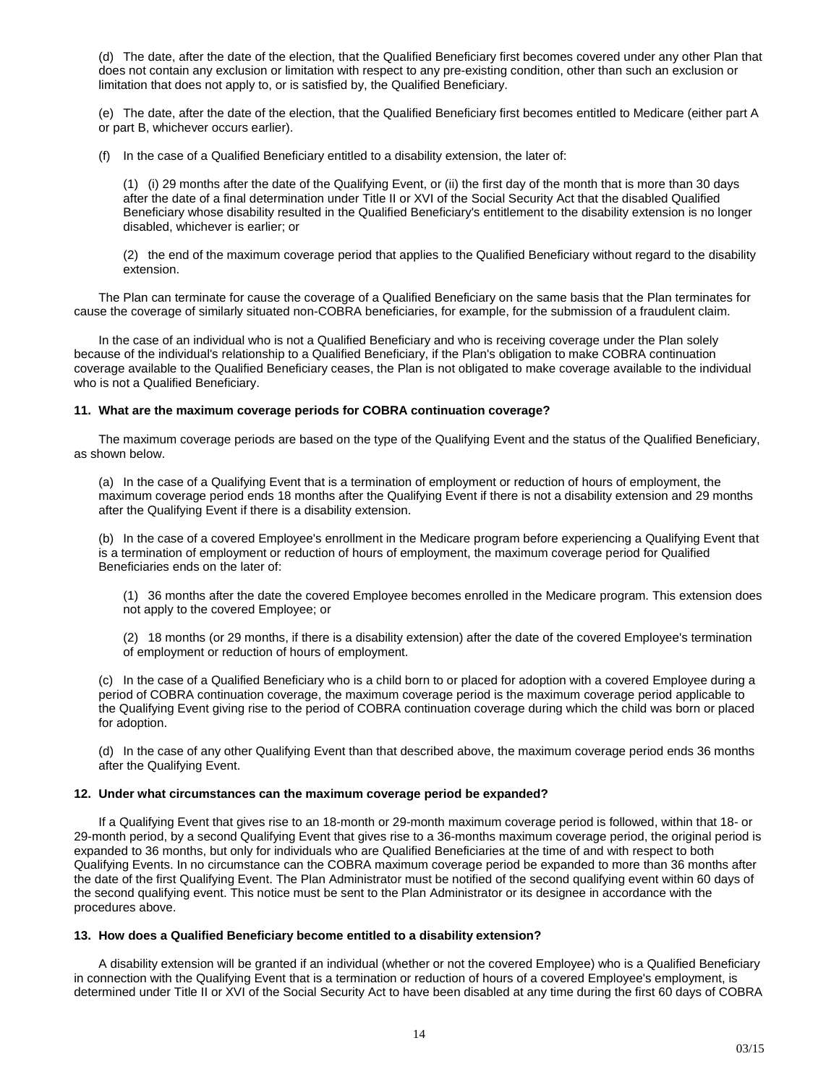(d) The date, after the date of the election, that the Qualified Beneficiary first becomes covered under any other Plan that does not contain any exclusion or limitation with respect to any pre-existing condition, other than such an exclusion or limitation that does not apply to, or is satisfied by, the Qualified Beneficiary.

(e) The date, after the date of the election, that the Qualified Beneficiary first becomes entitled to Medicare (either part A or part B, whichever occurs earlier).

(f) In the case of a Qualified Beneficiary entitled to a disability extension, the later of:

(1) (i) 29 months after the date of the Qualifying Event, or (ii) the first day of the month that is more than 30 days after the date of a final determination under Title II or XVI of the Social Security Act that the disabled Qualified Beneficiary whose disability resulted in the Qualified Beneficiary's entitlement to the disability extension is no longer disabled, whichever is earlier; or

(2) the end of the maximum coverage period that applies to the Qualified Beneficiary without regard to the disability extension.

The Plan can terminate for cause the coverage of a Qualified Beneficiary on the same basis that the Plan terminates for cause the coverage of similarly situated non-COBRA beneficiaries, for example, for the submission of a fraudulent claim.

In the case of an individual who is not a Qualified Beneficiary and who is receiving coverage under the Plan solely because of the individual's relationship to a Qualified Beneficiary, if the Plan's obligation to make COBRA continuation coverage available to the Qualified Beneficiary ceases, the Plan is not obligated to make coverage available to the individual who is not a Qualified Beneficiary.

### **11. What are the maximum coverage periods for COBRA continuation coverage?**

The maximum coverage periods are based on the type of the Qualifying Event and the status of the Qualified Beneficiary, as shown below.

(a) In the case of a Qualifying Event that is a termination of employment or reduction of hours of employment, the maximum coverage period ends 18 months after the Qualifying Event if there is not a disability extension and 29 months after the Qualifying Event if there is a disability extension.

(b) In the case of a covered Employee's enrollment in the Medicare program before experiencing a Qualifying Event that is a termination of employment or reduction of hours of employment, the maximum coverage period for Qualified Beneficiaries ends on the later of:

(1) 36 months after the date the covered Employee becomes enrolled in the Medicare program. This extension does not apply to the covered Employee; or

(2) 18 months (or 29 months, if there is a disability extension) after the date of the covered Employee's termination of employment or reduction of hours of employment.

(c) In the case of a Qualified Beneficiary who is a child born to or placed for adoption with a covered Employee during a period of COBRA continuation coverage, the maximum coverage period is the maximum coverage period applicable to the Qualifying Event giving rise to the period of COBRA continuation coverage during which the child was born or placed for adoption.

(d) In the case of any other Qualifying Event than that described above, the maximum coverage period ends 36 months after the Qualifying Event.

#### **12. Under what circumstances can the maximum coverage period be expanded?**

If a Qualifying Event that gives rise to an 18-month or 29-month maximum coverage period is followed, within that 18- or 29-month period, by a second Qualifying Event that gives rise to a 36-months maximum coverage period, the original period is expanded to 36 months, but only for individuals who are Qualified Beneficiaries at the time of and with respect to both Qualifying Events. In no circumstance can the COBRA maximum coverage period be expanded to more than 36 months after the date of the first Qualifying Event. The Plan Administrator must be notified of the second qualifying event within 60 days of the second qualifying event. This notice must be sent to the Plan Administrator or its designee in accordance with the procedures above.

#### **13. How does a Qualified Beneficiary become entitled to a disability extension?**

A disability extension will be granted if an individual (whether or not the covered Employee) who is a Qualified Beneficiary in connection with the Qualifying Event that is a termination or reduction of hours of a covered Employee's employment, is determined under Title II or XVI of the Social Security Act to have been disabled at any time during the first 60 days of COBRA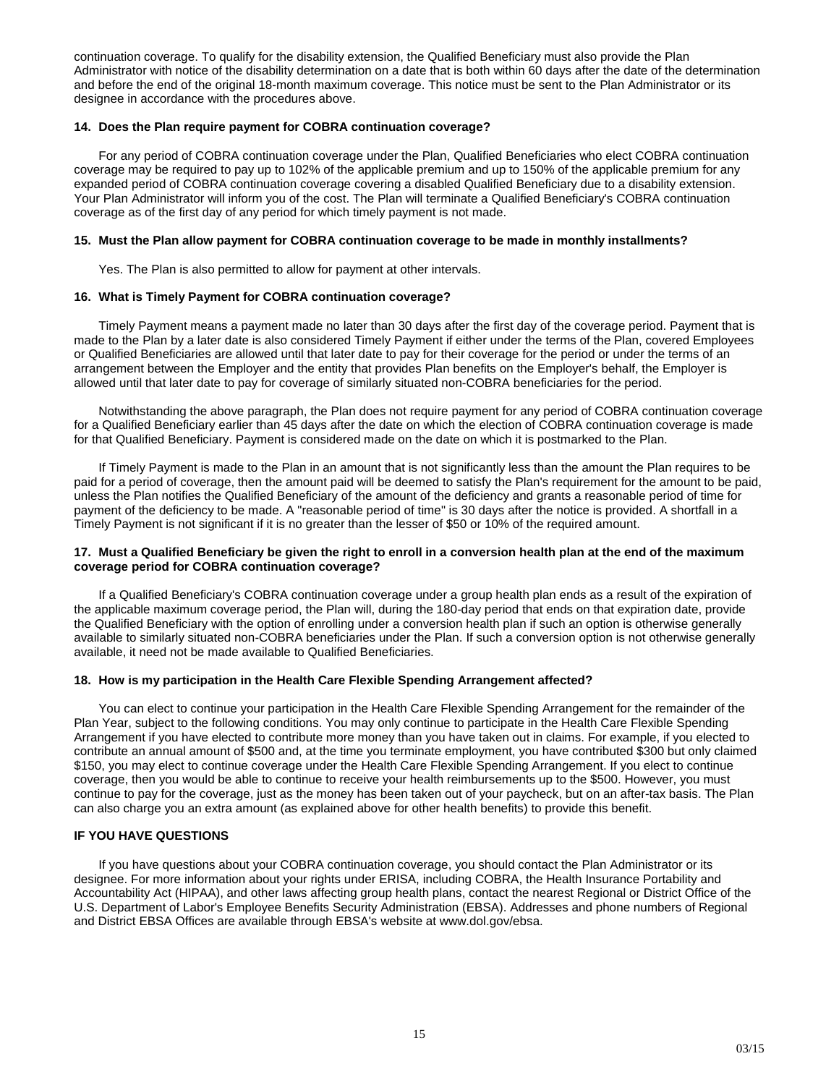continuation coverage. To qualify for the disability extension, the Qualified Beneficiary must also provide the Plan Administrator with notice of the disability determination on a date that is both within 60 days after the date of the determination and before the end of the original 18-month maximum coverage. This notice must be sent to the Plan Administrator or its designee in accordance with the procedures above.

# **14. Does the Plan require payment for COBRA continuation coverage?**

For any period of COBRA continuation coverage under the Plan, Qualified Beneficiaries who elect COBRA continuation coverage may be required to pay up to 102% of the applicable premium and up to 150% of the applicable premium for any expanded period of COBRA continuation coverage covering a disabled Qualified Beneficiary due to a disability extension. Your Plan Administrator will inform you of the cost. The Plan will terminate a Qualified Beneficiary's COBRA continuation coverage as of the first day of any period for which timely payment is not made.

### **15. Must the Plan allow payment for COBRA continuation coverage to be made in monthly installments?**

Yes. The Plan is also permitted to allow for payment at other intervals.

### **16. What is Timely Payment for COBRA continuation coverage?**

Timely Payment means a payment made no later than 30 days after the first day of the coverage period. Payment that is made to the Plan by a later date is also considered Timely Payment if either under the terms of the Plan, covered Employees or Qualified Beneficiaries are allowed until that later date to pay for their coverage for the period or under the terms of an arrangement between the Employer and the entity that provides Plan benefits on the Employer's behalf, the Employer is allowed until that later date to pay for coverage of similarly situated non-COBRA beneficiaries for the period.

Notwithstanding the above paragraph, the Plan does not require payment for any period of COBRA continuation coverage for a Qualified Beneficiary earlier than 45 days after the date on which the election of COBRA continuation coverage is made for that Qualified Beneficiary. Payment is considered made on the date on which it is postmarked to the Plan.

If Timely Payment is made to the Plan in an amount that is not significantly less than the amount the Plan requires to be paid for a period of coverage, then the amount paid will be deemed to satisfy the Plan's requirement for the amount to be paid, unless the Plan notifies the Qualified Beneficiary of the amount of the deficiency and grants a reasonable period of time for payment of the deficiency to be made. A "reasonable period of time" is 30 days after the notice is provided. A shortfall in a Timely Payment is not significant if it is no greater than the lesser of \$50 or 10% of the required amount.

### **17. Must a Qualified Beneficiary be given the right to enroll in a conversion health plan at the end of the maximum coverage period for COBRA continuation coverage?**

If a Qualified Beneficiary's COBRA continuation coverage under a group health plan ends as a result of the expiration of the applicable maximum coverage period, the Plan will, during the 180-day period that ends on that expiration date, provide the Qualified Beneficiary with the option of enrolling under a conversion health plan if such an option is otherwise generally available to similarly situated non-COBRA beneficiaries under the Plan. If such a conversion option is not otherwise generally available, it need not be made available to Qualified Beneficiaries.

#### **18. How is my participation in the Health Care Flexible Spending Arrangement affected?**

You can elect to continue your participation in the Health Care Flexible Spending Arrangement for the remainder of the Plan Year, subject to the following conditions. You may only continue to participate in the Health Care Flexible Spending Arrangement if you have elected to contribute more money than you have taken out in claims. For example, if you elected to contribute an annual amount of \$500 and, at the time you terminate employment, you have contributed \$300 but only claimed \$150, you may elect to continue coverage under the Health Care Flexible Spending Arrangement. If you elect to continue coverage, then you would be able to continue to receive your health reimbursements up to the \$500. However, you must continue to pay for the coverage, just as the money has been taken out of your paycheck, but on an after-tax basis. The Plan can also charge you an extra amount (as explained above for other health benefits) to provide this benefit.

# **IF YOU HAVE QUESTIONS**

If you have questions about your COBRA continuation coverage, you should contact the Plan Administrator or its designee. For more information about your rights under ERISA, including COBRA, the Health Insurance Portability and Accountability Act (HIPAA), and other laws affecting group health plans, contact the nearest Regional or District Office of the U.S. Department of Labor's Employee Benefits Security Administration (EBSA). Addresses and phone numbers of Regional and District EBSA Offices are available through EBSA's website at www.dol.gov/ebsa.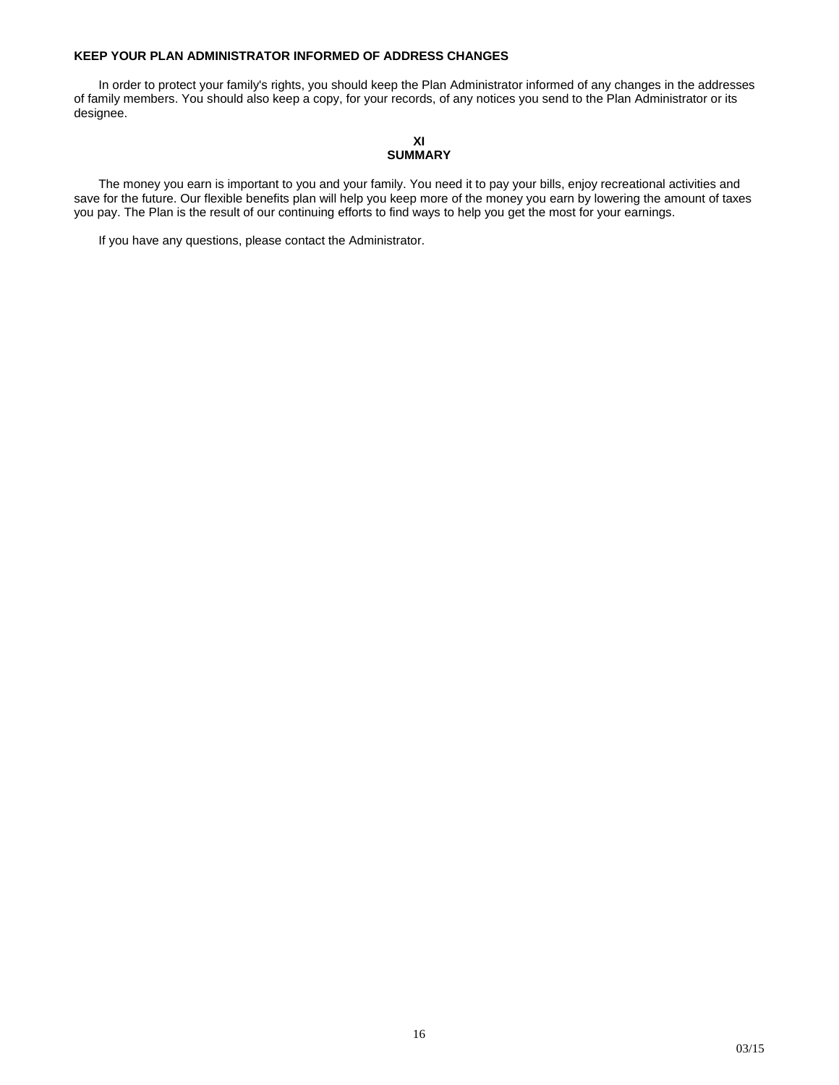# **KEEP YOUR PLAN ADMINISTRATOR INFORMED OF ADDRESS CHANGES**

In order to protect your family's rights, you should keep the Plan Administrator informed of any changes in the addresses of family members. You should also keep a copy, for your records, of any notices you send to the Plan Administrator or its designee.

# **XI SUMMARY**

The money you earn is important to you and your family. You need it to pay your bills, enjoy recreational activities and save for the future. Our flexible benefits plan will help you keep more of the money you earn by lowering the amount of taxes you pay. The Plan is the result of our continuing efforts to find ways to help you get the most for your earnings.

If you have any questions, please contact the Administrator.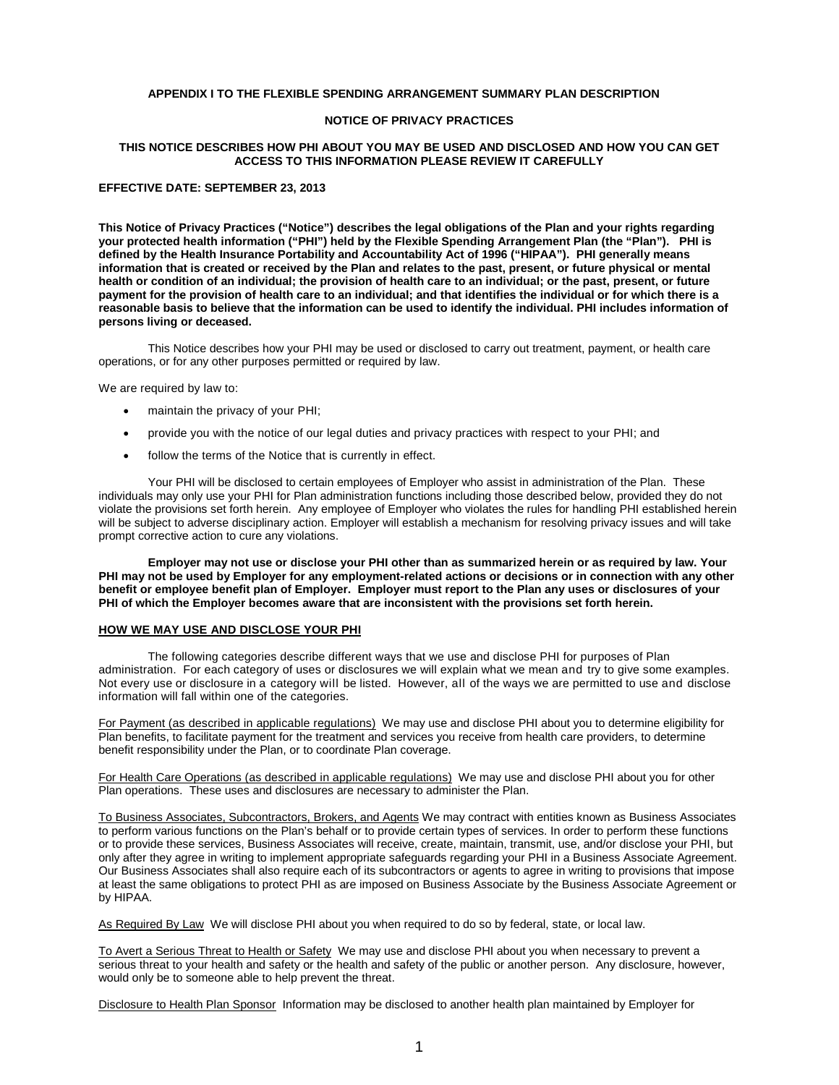#### **APPENDIX I TO THE FLEXIBLE SPENDING ARRANGEMENT SUMMARY PLAN DESCRIPTION**

# **NOTICE OF PRIVACY PRACTICES**

#### **THIS NOTICE DESCRIBES HOW PHI ABOUT YOU MAY BE USED AND DISCLOSED AND HOW YOU CAN GET ACCESS TO THIS INFORMATION PLEASE REVIEW IT CAREFULLY**

#### **EFFECTIVE DATE: SEPTEMBER 23, 2013**

**This Notice of Privacy Practices ("Notice") describes the legal obligations of the Plan and your rights regarding your protected health information ("PHI") held by the Flexible Spending Arrangement Plan (the "Plan"). PHI is defined by the Health Insurance Portability and Accountability Act of 1996 ("HIPAA"). PHI generally means information that is created or received by the Plan and relates to the past, present, or future physical or mental health or condition of an individual; the provision of health care to an individual; or the past, present, or future payment for the provision of health care to an individual; and that identifies the individual or for which there is a reasonable basis to believe that the information can be used to identify the individual. PHI includes information of persons living or deceased.**

This Notice describes how your PHI may be used or disclosed to carry out treatment, payment, or health care operations, or for any other purposes permitted or required by law.

We are required by law to:

- maintain the privacy of your PHI;
- provide you with the notice of our legal duties and privacy practices with respect to your PHI; and
- follow the terms of the Notice that is currently in effect.

Your PHI will be disclosed to certain employees of Employer who assist in administration of the Plan. These individuals may only use your PHI for Plan administration functions including those described below, provided they do not violate the provisions set forth herein. Any employee of Employer who violates the rules for handling PHI established herein will be subject to adverse disciplinary action. Employer will establish a mechanism for resolving privacy issues and will take prompt corrective action to cure any violations.

**Employer may not use or disclose your PHI other than as summarized herein or as required by law. Your PHI may not be used by Employer for any employment-related actions or decisions or in connection with any other benefit or employee benefit plan of Employer. Employer must report to the Plan any uses or disclosures of your PHI of which the Employer becomes aware that are inconsistent with the provisions set forth herein.**

#### **HOW WE MAY USE AND DISCLOSE YOUR PHI**

The following categories describe different ways that we use and disclose PHI for purposes of Plan administration. For each category of uses or disclosures we will explain what we mean and try to give some examples. Not every use or disclosure in a category will be listed. However, all of the ways we are permitted to use and disclose information will fall within one of the categories.

For Payment (as described in applicable regulations) We may use and disclose PHI about you to determine eligibility for Plan benefits, to facilitate payment for the treatment and services you receive from health care providers, to determine benefit responsibility under the Plan, or to coordinate Plan coverage.

For Health Care Operations (as described in applicable regulations) We may use and disclose PHI about you for other Plan operations. These uses and disclosures are necessary to administer the Plan.

To Business Associates, Subcontractors, Brokers, and Agents We may contract with entities known as Business Associates to perform various functions on the Plan's behalf or to provide certain types of services. In order to perform these functions or to provide these services, Business Associates will receive, create, maintain, transmit, use, and/or disclose your PHI, but only after they agree in writing to implement appropriate safeguards regarding your PHI in a Business Associate Agreement. Our Business Associates shall also require each of its subcontractors or agents to agree in writing to provisions that impose at least the same obligations to protect PHI as are imposed on Business Associate by the Business Associate Agreement or by HIPAA.

As Required By Law We will disclose PHI about you when required to do so by federal, state, or local law.

To Avert a Serious Threat to Health or Safety We may use and disclose PHI about you when necessary to prevent a serious threat to your health and safety or the health and safety of the public or another person. Any disclosure, however, would only be to someone able to help prevent the threat.

Disclosure to Health Plan Sponsor Information may be disclosed to another health plan maintained by Employer for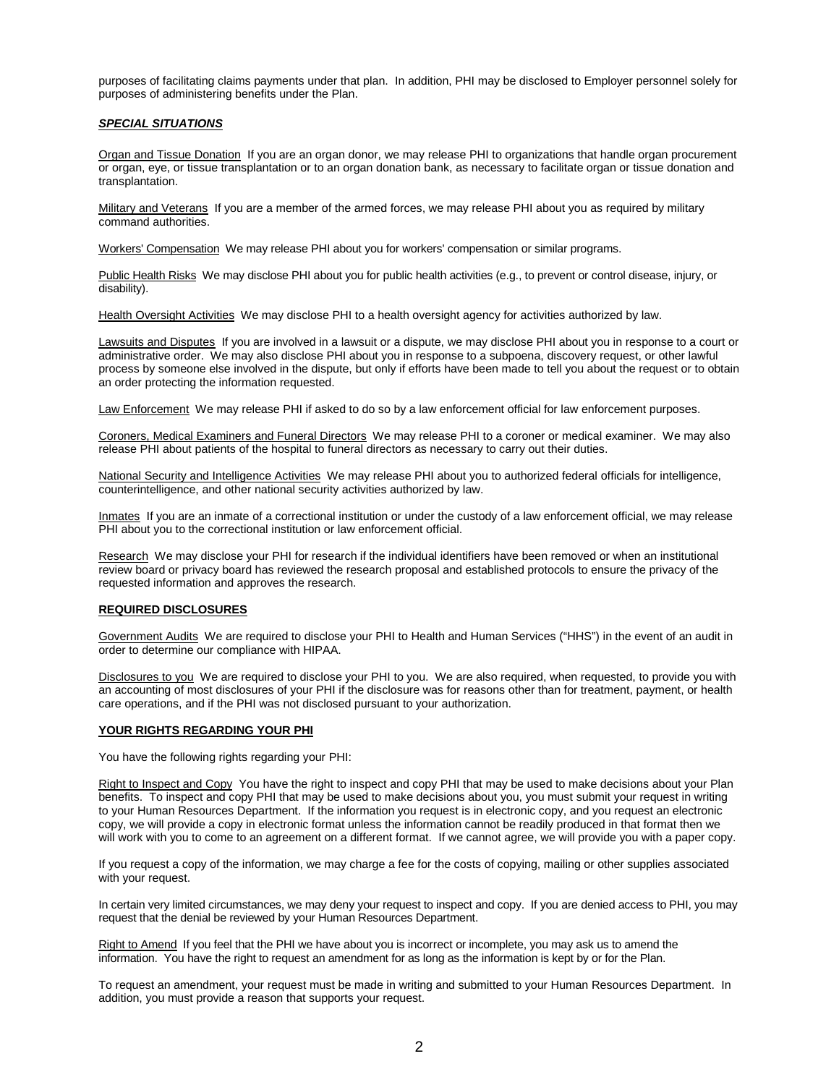purposes of facilitating claims payments under that plan. In addition, PHI may be disclosed to Employer personnel solely for purposes of administering benefits under the Plan.

#### *SPECIAL SITUATIONS*

Organ and Tissue Donation If you are an organ donor, we may release PHI to organizations that handle organ procurement or organ, eye, or tissue transplantation or to an organ donation bank, as necessary to facilitate organ or tissue donation and transplantation.

Military and Veterans If you are a member of the armed forces, we may release PHI about you as required by military command authorities.

Workers' Compensation We may release PHI about you for workers' compensation or similar programs.

Public Health Risks We may disclose PHI about you for public health activities (e.g., to prevent or control disease, injury, or disability).

Health Oversight Activities We may disclose PHI to a health oversight agency for activities authorized by law.

Lawsuits and Disputes If you are involved in a lawsuit or a dispute, we may disclose PHI about you in response to a court or administrative order. We may also disclose PHI about you in response to a subpoena, discovery request, or other lawful process by someone else involved in the dispute, but only if efforts have been made to tell you about the request or to obtain an order protecting the information requested.

Law Enforcement We may release PHI if asked to do so by a law enforcement official for law enforcement purposes.

Coroners, Medical Examiners and Funeral Directors We may release PHI to a coroner or medical examiner. We may also release PHI about patients of the hospital to funeral directors as necessary to carry out their duties.

National Security and Intelligence Activities We may release PHI about you to authorized federal officials for intelligence, counterintelligence, and other national security activities authorized by law.

Inmates If you are an inmate of a correctional institution or under the custody of a law enforcement official, we may release PHI about you to the correctional institution or law enforcement official.

Research We may disclose your PHI for research if the individual identifiers have been removed or when an institutional review board or privacy board has reviewed the research proposal and established protocols to ensure the privacy of the requested information and approves the research.

#### **REQUIRED DISCLOSURES**

Government Audits We are required to disclose your PHI to Health and Human Services ("HHS") in the event of an audit in order to determine our compliance with HIPAA.

Disclosures to you We are required to disclose your PHI to you. We are also required, when requested, to provide you with an accounting of most disclosures of your PHI if the disclosure was for reasons other than for treatment, payment, or health care operations, and if the PHI was not disclosed pursuant to your authorization.

#### **YOUR RIGHTS REGARDING YOUR PHI**

You have the following rights regarding your PHI:

Right to Inspect and Copy You have the right to inspect and copy PHI that may be used to make decisions about your Plan benefits. To inspect and copy PHI that may be used to make decisions about you, you must submit your request in writing to your Human Resources Department. If the information you request is in electronic copy, and you request an electronic copy, we will provide a copy in electronic format unless the information cannot be readily produced in that format then we will work with you to come to an agreement on a different format. If we cannot agree, we will provide you with a paper copy.

If you request a copy of the information, we may charge a fee for the costs of copying, mailing or other supplies associated with your request.

In certain very limited circumstances, we may deny your request to inspect and copy. If you are denied access to PHI, you may request that the denial be reviewed by your Human Resources Department.

Right to Amend If you feel that the PHI we have about you is incorrect or incomplete, you may ask us to amend the information. You have the right to request an amendment for as long as the information is kept by or for the Plan.

To request an amendment, your request must be made in writing and submitted to your Human Resources Department. In addition, you must provide a reason that supports your request.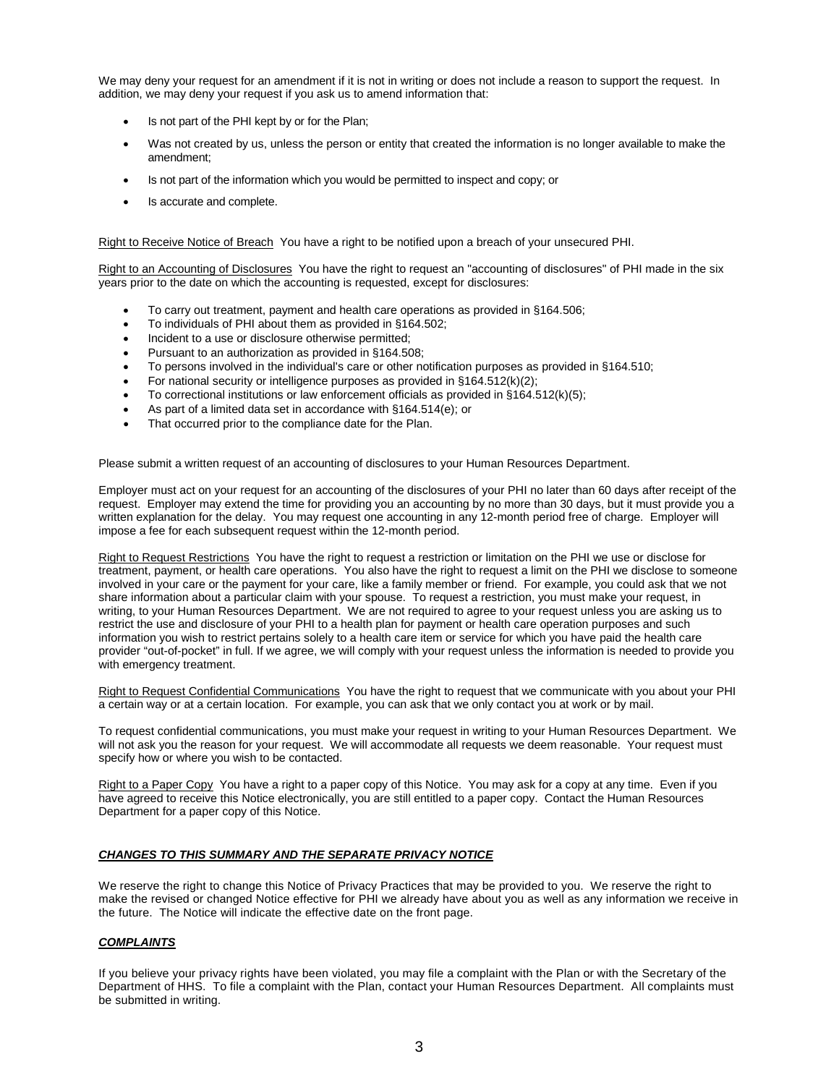We may deny your request for an amendment if it is not in writing or does not include a reason to support the request. In addition, we may deny your request if you ask us to amend information that:

- Is not part of the PHI kept by or for the Plan;
- Was not created by us, unless the person or entity that created the information is no longer available to make the amendment;
- Is not part of the information which you would be permitted to inspect and copy; or
- Is accurate and complete.

Right to Receive Notice of Breach You have a right to be notified upon a breach of your unsecured PHI.

Right to an Accounting of Disclosures You have the right to request an "accounting of disclosures" of PHI made in the six years prior to the date on which the accounting is requested, except for disclosures:

- To carry out treatment, payment and health care operations as provided in §164.506;
- To individuals of PHI about them as provided in §164.502;
- Incident to a use or disclosure otherwise permitted;
- Pursuant to an authorization as provided in §164.508;
- To persons involved in the individual's care or other notification purposes as provided in §164.510;
- For national security or intelligence purposes as provided in §164.512(k)(2);
- To correctional institutions or law enforcement officials as provided in  $§164.512(k)(5);$
- As part of a limited data set in accordance with §164.514(e); or
- That occurred prior to the compliance date for the Plan.

Please submit a written request of an accounting of disclosures to your Human Resources Department.

Employer must act on your request for an accounting of the disclosures of your PHI no later than 60 days after receipt of the request. Employer may extend the time for providing you an accounting by no more than 30 days, but it must provide you a written explanation for the delay. You may request one accounting in any 12-month period free of charge. Employer will impose a fee for each subsequent request within the 12-month period.

Right to Request Restrictions You have the right to request a restriction or limitation on the PHI we use or disclose for treatment, payment, or health care operations. You also have the right to request a limit on the PHI we disclose to someone involved in your care or the payment for your care, like a family member or friend. For example, you could ask that we not share information about a particular claim with your spouse. To request a restriction, you must make your request, in writing, to your Human Resources Department. We are not required to agree to your request unless you are asking us to restrict the use and disclosure of your PHI to a health plan for payment or health care operation purposes and such information you wish to restrict pertains solely to a health care item or service for which you have paid the health care provider "out-of-pocket" in full. If we agree, we will comply with your request unless the information is needed to provide you with emergency treatment.

Right to Request Confidential Communications You have the right to request that we communicate with you about your PHI a certain way or at a certain location. For example, you can ask that we only contact you at work or by mail.

To request confidential communications, you must make your request in writing to your Human Resources Department. We will not ask you the reason for your request. We will accommodate all requests we deem reasonable. Your request must specify how or where you wish to be contacted.

Right to a Paper Copy You have a right to a paper copy of this Notice. You may ask for a copy at any time. Even if you have agreed to receive this Notice electronically, you are still entitled to a paper copy. Contact the Human Resources Department for a paper copy of this Notice.

#### *CHANGES TO THIS SUMMARY AND THE SEPARATE PRIVACY NOTICE*

We reserve the right to change this Notice of Privacy Practices that may be provided to you. We reserve the right to make the revised or changed Notice effective for PHI we already have about you as well as any information we receive in the future. The Notice will indicate the effective date on the front page.

## *COMPLAINTS*

If you believe your privacy rights have been violated, you may file a complaint with the Plan or with the Secretary of the Department of HHS. To file a complaint with the Plan, contact your Human Resources Department. All complaints must be submitted in writing.